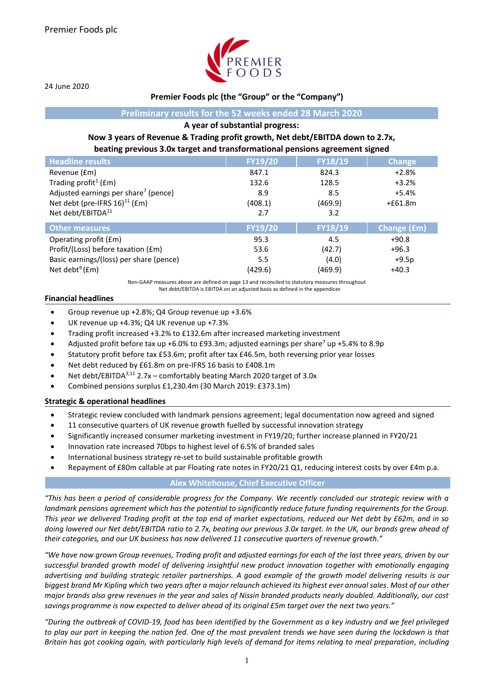

24 June 2020

#### **Premier Foods plc (the "Group" or the "Company")**

#### **Preliminary results for the 52 weeks ended 28 March 2020**

**A year of substantial progress:**

#### **Now 3 years of Revenue & Trading profit growth, Net debt/EBITDA down to 2.7x, beating previous 3.0x target and transformational pensions agreement signed**

| Deathly previous S.OX target and transformational pensions agreement signed |                |                |               |  |
|-----------------------------------------------------------------------------|----------------|----------------|---------------|--|
| <b>Headline results</b>                                                     | <b>FY19/20</b> | <b>FY18/19</b> | <b>Change</b> |  |
| Revenue (£m)                                                                | 847.1          | 824.3          | $+2.8%$       |  |
| Trading profit <sup>1</sup> (£m)                                            | 132.6          | 128.5          | $+3.2%$       |  |
| Adjusted earnings per share <sup>7</sup> (pence)                            | 8.9            | 8.5            | $+5.4%$       |  |
| Net debt (pre-IFRS $16)^{11}$ (£m)                                          | (408.1)        | (469.9)        | $+£61.8m$     |  |
| Net debt/EBITDA <sup>11</sup>                                               | 2.7            | 3.2            |               |  |
|                                                                             |                |                |               |  |

| Other measures                          | <b>FY19/20</b> | <b>FY18/19</b> | Change (£m) |
|-----------------------------------------|----------------|----------------|-------------|
| Operating profit (£m)                   | 95.3           | 4.5            | $+90.8$     |
| Profit/(Loss) before taxation (£m)      | 53.6           | (42.7)         | $+96.3$     |
| Basic earnings/(loss) per share (pence) | 5.5            | (4.0)          | $+9.5p$     |
| Net debt <sup>9</sup> ( $Em$ )          | (429.6)        | (469.9)        | $+40.3$     |

Non-GAAP measures above are defined on page 13 and reconciled to statutory measures throughout Net debt/EBITDA is EBITDA on an adjusted basis as defined in the appendices

#### **Financial headlines**

- Group revenue up +2.8%; Q4 Group revenue up +3.6%
- UK revenue up +4.3%; Q4 UK revenue up +7.3%
- Trading profit increased +3.2% to £132.6m after increased marketing investment
- Adjusted profit before tax up +6.0% to £93.3m; adjusted earnings per share<sup>7</sup> up +5.4% to 8.9p
- Statutory profit before tax £53.6m; profit after tax £46.5m, both reversing prior year losses
- Net debt reduced by £61.8m on pre-IFRS 16 basis to £408.1m
- Net debt/EBITDA $3,11$  2.7x comfortably beating March 2020 target of 3.0x
- Combined pensions surplus £1,230.4m (30 March 2019: £373.1m)

#### **Strategic & operational headlines**

- Strategic review concluded with landmark pensions agreement; legal documentation now agreed and signed
- 11 consecutive quarters of UK revenue growth fuelled by successful innovation strategy
- Significantly increased consumer marketing investment in FY19/20; further increase planned in FY20/21
- Innovation rate increased 70bps to highest level of 6.5% of branded sales
- International business strategy re-set to build sustainable profitable growth
- Repayment of £80m callable at par Floating rate notes in FY20/21 Q1, reducing interest costs by over £4m p.a.

#### **Alex Whitehouse, Chief Executive Officer**

*"This has been a period of considerable progress for the Company. We recently concluded our strategic review with a landmark pensions agreement which has the potential to significantly reduce future funding requirements for the Group. This year we delivered Trading profit at the top end of market expectations, reduced our Net debt by £62m, and in so doing lowered our Net debt/EBITDA ratio to 2.7x, beating our previous 3.0x target. In the UK, our brands grew ahead of their categories, and our UK business has now delivered 11 consecutive quarters of revenue growth."*

*"We have now grown Group revenues, Trading profit and adjusted earnings for each of the last three years, driven by our successful branded growth model of delivering insightful new product innovation together with emotionally engaging advertising and building strategic retailer partnerships. A good example of the growth model delivering results is our biggest brand Mr Kipling which two years after a major relaunch achieved its highest ever annual sales. Most of our other major brands also grew revenues in the year and sales of Nissin branded products nearly doubled. Additionally, our cost savings programme is now expected to deliver ahead of its original £5m target over the next two years."*

*"During the outbreak of COVID-19, food has been identified by the Government as a key industry and we feel privileged to play our part in keeping the nation fed. One of the most prevalent trends we have seen during the lockdown is that Britain has got cooking again, with particularly high levels of demand for items relating to meal preparation, including*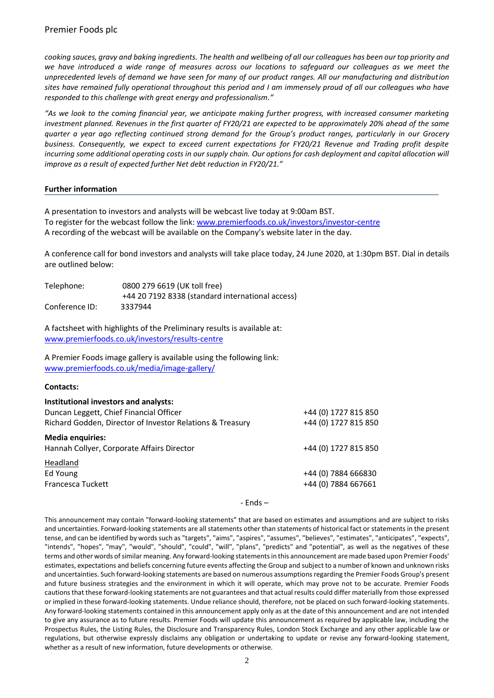*cooking sauces, gravy and baking ingredients. The health and wellbeing of all our colleagues has been our top priority and we have introduced a wide range of measures across our locations to safeguard our colleagues as we meet the unprecedented levels of demand we have seen for many of our product ranges. All our manufacturing and distribution sites have remained fully operational throughout this period and I am immensely proud of all our colleagues who have responded to this challenge with great energy and professionalism."*

*"As we look to the coming financial year, we anticipate making further progress, with increased consumer marketing investment planned. Revenues in the first quarter of FY20/21 are expected to be approximately 20% ahead of the same quarter a year ago reflecting continued strong demand for the Group's product ranges, particularly in our Grocery business. Consequently, we expect to exceed current expectations for FY20/21 Revenue and Trading profit despite incurring some additional operating costs in our supply chain. Our options for cash deployment and capital allocation will improve as a result of expected further Net debt reduction in FY20/21."*

#### **Further information**

A presentation to investors and analysts will be webcast live today at 9:00am BST. To register for the webcast follow the link: [www.premierfoods.co.uk/investors/investor-centre](http://www.premierfoods.co.uk/investors/investor-centre) A recording of the webcast will be available on the Company's website later in the day.

A conference call for bond investors and analysts will take place today, 24 June 2020, at 1:30pm BST. Dial in details are outlined below:

| Telephone:     | 0800 279 6619 (UK toll free)                     |
|----------------|--------------------------------------------------|
|                | +44 20 7192 8338 (standard international access) |
| Conference ID: | 3337944                                          |

A factsheet with highlights of the Preliminary results is available at: [www.premierfoods.co.uk/investors/results-centre](http://www.premierfoods.co.uk/investors/results-centre)

A Premier Foods image gallery is available using the following link: [www.premierfoods.co.uk/media/image-gallery/](http://www.premierfoods.co.uk/media/image-gallery/)

#### **Contacts:**

| Institutional investors and analysts:                     |                      |
|-----------------------------------------------------------|----------------------|
| Duncan Leggett, Chief Financial Officer                   | +44 (0) 1727 815 850 |
| Richard Godden, Director of Investor Relations & Treasury | +44 (0) 1727 815 850 |
| <b>Media enquiries:</b>                                   |                      |
| Hannah Collyer, Corporate Affairs Director                | +44 (0) 1727 815 850 |
| Headland                                                  |                      |
| Ed Young                                                  | +44 (0) 7884 666830  |
| Francesca Tuckett                                         | +44 (0) 7884 667661  |
|                                                           |                      |

#### - Ends –

This announcement may contain "forward-looking statements" that are based on estimates and assumptions and are subject to risks and uncertainties. Forward-looking statements are all statements other than statements of historical fact or statements in the present tense, and can be identified by words such as "targets", "aims", "aspires", "assumes", "believes", "estimates", "anticipates", "expects", "intends", "hopes", "may", "would", "should", "could", "will", "plans", "predicts" and "potential", as well as the negatives of these terms and other words of similar meaning. Any forward-looking statements in this announcement are made based upon Premier Foods' estimates, expectations and beliefs concerning future events affecting the Group and subject to a number of known and unknown risks and uncertainties. Such forward-looking statements are based on numerous assumptions regarding the Premier Foods Group's present and future business strategies and the environment in which it will operate, which may prove not to be accurate. Premier Foods cautions that these forward-looking statements are not guarantees and that actual results could differ materially from those expressed or implied in these forward-looking statements. Undue reliance should, therefore, not be placed on such forward-looking statements. Any forward-looking statements contained in this announcement apply only as at the date of this announcement and are not intended to give any assurance as to future results. Premier Foods will update this announcement as required by applicable law, including the Prospectus Rules, the Listing Rules, the Disclosure and Transparency Rules, London Stock Exchange and any other applicable law or regulations, but otherwise expressly disclaims any obligation or undertaking to update or revise any forward-looking statement, whether as a result of new information, future developments or otherwise.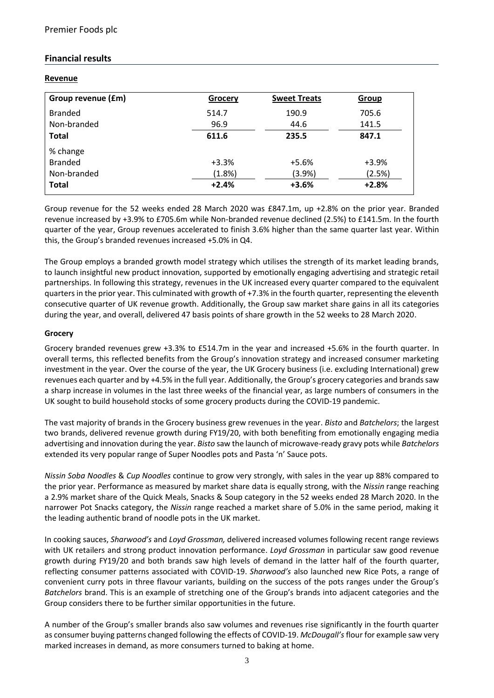# **Financial results**

#### **Revenue**

| Group revenue (£m) | Grocery | <b>Sweet Treats</b> | Group   |
|--------------------|---------|---------------------|---------|
| <b>Branded</b>     | 514.7   | 190.9               | 705.6   |
| Non-branded        | 96.9    | 44.6                | 141.5   |
| <b>Total</b>       | 611.6   | 235.5               | 847.1   |
| % change           |         |                     |         |
| <b>Branded</b>     | $+3.3%$ | $+5.6%$             | $+3.9%$ |
| Non-branded        | (1.8%)  | (3.9%)              | (2.5%)  |
| <b>Total</b>       | $+2.4%$ | $+3.6%$             | $+2.8%$ |

Group revenue for the 52 weeks ended 28 March 2020 was £847.1m, up +2.8% on the prior year. Branded revenue increased by +3.9% to £705.6m while Non-branded revenue declined (2.5%) to £141.5m. In the fourth quarter of the year, Group revenues accelerated to finish 3.6% higher than the same quarter last year. Within this, the Group's branded revenues increased +5.0% in Q4.

The Group employs a branded growth model strategy which utilises the strength of its market leading brands, to launch insightful new product innovation, supported by emotionally engaging advertising and strategic retail partnerships. In following this strategy, revenues in the UK increased every quarter compared to the equivalent quarters in the prior year. This culminated with growth of +7.3% in the fourth quarter, representing the eleventh consecutive quarter of UK revenue growth. Additionally, the Group saw market share gains in all its categories during the year, and overall, delivered 47 basis points of share growth in the 52 weeks to 28 March 2020.

#### **Grocery**

Grocery branded revenues grew +3.3% to £514.7m in the year and increased +5.6% in the fourth quarter. In overall terms, this reflected benefits from the Group's innovation strategy and increased consumer marketing investment in the year. Over the course of the year, the UK Grocery business (i.e. excluding International) grew revenues each quarter and by +4.5% in the full year. Additionally, the Group's grocery categories and brands saw a sharp increase in volumes in the last three weeks of the financial year, as large numbers of consumers in the UK sought to build household stocks of some grocery products during the COVID-19 pandemic.

The vast majority of brands in the Grocery business grew revenues in the year. *Bisto* and *Batchelors*; the largest two brands, delivered revenue growth during FY19/20, with both benefiting from emotionally engaging media advertising and innovation during the year. *Bisto* saw the launch of microwave-ready gravy pots while *Batchelors* extended its very popular range of Super Noodles pots and Pasta 'n' Sauce pots.

*Nissin Soba Noodles* & *Cup Noodles* continue to grow very strongly, with sales in the year up 88% compared to the prior year. Performance as measured by market share data is equally strong, with the *Nissin* range reaching a 2.9% market share of the Quick Meals, Snacks & Soup category in the 52 weeks ended 28 March 2020. In the narrower Pot Snacks category, the *Nissin* range reached a market share of 5.0% in the same period, making it the leading authentic brand of noodle pots in the UK market.

In cooking sauces, *Sharwood's* and *Loyd Grossman,* delivered increased volumes following recent range reviews with UK retailers and strong product innovation performance. *Loyd Grossman* in particular saw good revenue growth during FY19/20 and both brands saw high levels of demand in the latter half of the fourth quarter, reflecting consumer patterns associated with COVID-19. *Sharwood's* also launched new Rice Pots, a range of convenient curry pots in three flavour variants, building on the success of the pots ranges under the Group's *Batchelors* brand. This is an example of stretching one of the Group's brands into adjacent categories and the Group considers there to be further similar opportunities in the future.

A number of the Group's smaller brands also saw volumes and revenues rise significantly in the fourth quarter as consumer buying patterns changed following the effects of COVID-19. *McDougall's*flour for example saw very marked increases in demand, as more consumers turned to baking at home.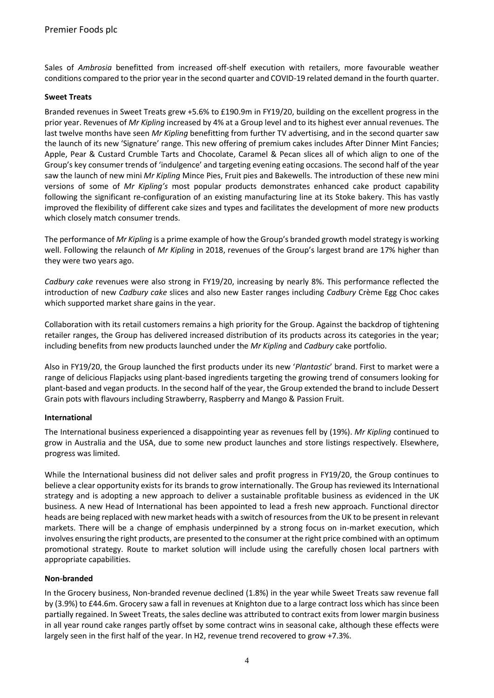Sales of *Ambrosia* benefitted from increased off-shelf execution with retailers, more favourable weather conditions compared to the prior year in the second quarter and COVID-19 related demand in the fourth quarter.

#### **Sweet Treats**

Branded revenues in Sweet Treats grew +5.6% to £190.9m in FY19/20, building on the excellent progress in the prior year. Revenues of *Mr Kipling* increased by 4% at a Group level and to its highest ever annual revenues. The last twelve months have seen *Mr Kipling* benefitting from further TV advertising, and in the second quarter saw the launch of its new 'Signature' range. This new offering of premium cakes includes After Dinner Mint Fancies; Apple, Pear & Custard Crumble Tarts and Chocolate, Caramel & Pecan slices all of which align to one of the Group's key consumer trends of 'indulgence' and targeting evening eating occasions. The second half of the year saw the launch of new mini *Mr Kipling* Mince Pies, Fruit pies and Bakewells. The introduction of these new mini versions of some of *Mr Kipling's* most popular products demonstrates enhanced cake product capability following the significant re-configuration of an existing manufacturing line at its Stoke bakery. This has vastly improved the flexibility of different cake sizes and types and facilitates the development of more new products which closely match consumer trends.

The performance of *Mr Kipling* is a prime example of how the Group's branded growth model strategy is working well. Following the relaunch of *Mr Kipling* in 2018, revenues of the Group's largest brand are 17% higher than they were two years ago.

*Cadbury cake* revenues were also strong in FY19/20, increasing by nearly 8%. This performance reflected the introduction of new *Cadbury cake* slices and also new Easter ranges including *Cadbury* Crème Egg Choc cakes which supported market share gains in the year.

Collaboration with its retail customers remains a high priority for the Group. Against the backdrop of tightening retailer ranges, the Group has delivered increased distribution of its products across its categories in the year; including benefits from new products launched under the *Mr Kipling* and *Cadbury* cake portfolio.

Also in FY19/20, the Group launched the first products under its new '*Plantastic*' brand. First to market were a range of delicious Flapjacks using plant-based ingredients targeting the growing trend of consumers looking for plant-based and vegan products. In the second half of the year, the Group extended the brand to include Dessert Grain pots with flavours including Strawberry, Raspberry and Mango & Passion Fruit.

#### **International**

The International business experienced a disappointing year as revenues fell by (19%). *Mr Kipling* continued to grow in Australia and the USA, due to some new product launches and store listings respectively. Elsewhere, progress was limited.

While the International business did not deliver sales and profit progress in FY19/20, the Group continues to believe a clear opportunity exists for its brands to grow internationally. The Group has reviewed its International strategy and is adopting a new approach to deliver a sustainable profitable business as evidenced in the UK business. A new Head of International has been appointed to lead a fresh new approach. Functional director heads are being replaced with new market heads with a switch of resources from the UK to be present in relevant markets. There will be a change of emphasis underpinned by a strong focus on in-market execution, which involves ensuring the right products, are presented to the consumer at the right price combined with an optimum promotional strategy. Route to market solution will include using the carefully chosen local partners with appropriate capabilities.

#### **Non-branded**

In the Grocery business, Non-branded revenue declined (1.8%) in the year while Sweet Treats saw revenue fall by (3.9%) to £44.6m. Grocery saw a fall in revenues at Knighton due to a large contract loss which has since been partially regained. In Sweet Treats, the sales decline was attributed to contract exits from lower margin business in all year round cake ranges partly offset by some contract wins in seasonal cake, although these effects were largely seen in the first half of the year. In H2, revenue trend recovered to grow +7.3%.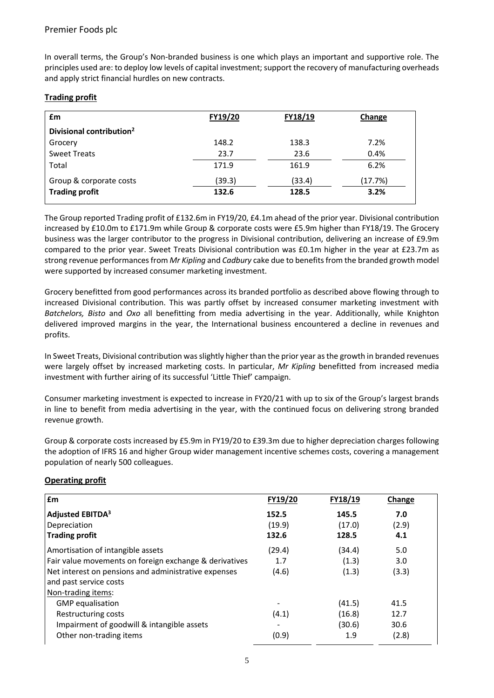In overall terms, the Group's Non-branded business is one which plays an important and supportive role. The principles used are: to deploy low levels of capital investment; support the recovery of manufacturing overheads and apply strict financial hurdles on new contracts.

# **Trading profit**

| £m                                   | FY19/20 | FY18/19 | Change  |
|--------------------------------------|---------|---------|---------|
| Divisional contribution <sup>2</sup> |         |         |         |
| Grocery                              | 148.2   | 138.3   | 7.2%    |
| <b>Sweet Treats</b>                  | 23.7    | 23.6    | 0.4%    |
| Total                                | 171.9   | 161.9   | 6.2%    |
| Group & corporate costs              | (39.3)  | (33.4)  | (17.7%) |
| <b>Trading profit</b>                | 132.6   | 128.5   | 3.2%    |

The Group reported Trading profit of £132.6m in FY19/20, £4.1m ahead of the prior year. Divisional contribution increased by £10.0m to £171.9m while Group & corporate costs were £5.9m higher than FY18/19. The Grocery business was the larger contributor to the progress in Divisional contribution, delivering an increase of £9.9m compared to the prior year. Sweet Treats Divisional contribution was £0.1m higher in the year at £23.7m as strong revenue performances from *Mr Kipling* and *Cadbury* cake due to benefits from the branded growth model were supported by increased consumer marketing investment.

Grocery benefitted from good performances across its branded portfolio as described above flowing through to increased Divisional contribution. This was partly offset by increased consumer marketing investment with *Batchelors, Bisto* and *Oxo* all benefitting from media advertising in the year. Additionally, while Knighton delivered improved margins in the year, the International business encountered a decline in revenues and profits.

In Sweet Treats, Divisional contribution was slightly higher than the prior year as the growth in branded revenues were largely offset by increased marketing costs. In particular, *Mr Kipling* benefitted from increased media investment with further airing of its successful 'Little Thief' campaign.

Consumer marketing investment is expected to increase in FY20/21 with up to six of the Group's largest brands in line to benefit from media advertising in the year, with the continued focus on delivering strong branded revenue growth.

Group & corporate costs increased by £5.9m in FY19/20 to £39.3m due to higher depreciation charges following the adoption of IFRS 16 and higher Group wider management incentive schemes costs, covering a management population of nearly 500 colleagues.

# **Operating profit**

| £m                                                     | FY19/20 | FY18/19 | Change |
|--------------------------------------------------------|---------|---------|--------|
| <b>Adjusted EBITDA3</b>                                | 152.5   | 145.5   | 7.0    |
| Depreciation                                           | (19.9)  | (17.0)  | (2.9)  |
| <b>Trading profit</b>                                  | 132.6   | 128.5   | 4.1    |
| Amortisation of intangible assets                      | (29.4)  | (34.4)  | 5.0    |
| Fair value movements on foreign exchange & derivatives | 1.7     | (1.3)   | 3.0    |
| Net interest on pensions and administrative expenses   | (4.6)   | (1.3)   | (3.3)  |
| and past service costs                                 |         |         |        |
| Non-trading items:                                     |         |         |        |
| <b>GMP</b> equalisation                                |         | (41.5)  | 41.5   |
| Restructuring costs                                    | (4.1)   | (16.8)  | 12.7   |
| Impairment of goodwill & intangible assets             |         | (30.6)  | 30.6   |
| Other non-trading items                                | (0.9)   | 1.9     | (2.8)  |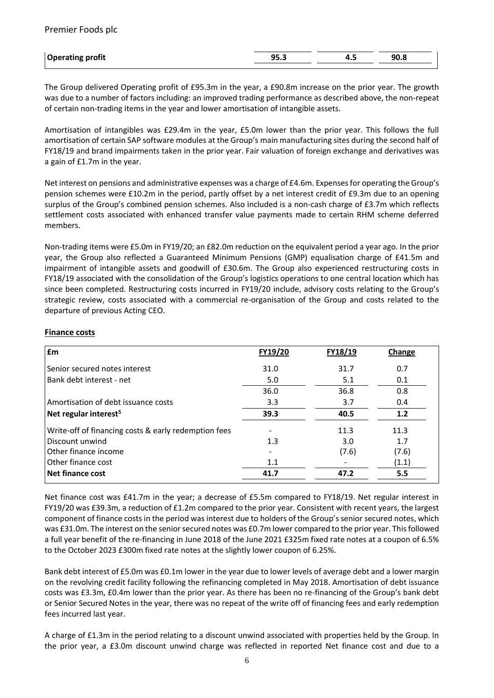| Operating profit | 95.3 |  |
|------------------|------|--|
|                  |      |  |

The Group delivered Operating profit of £95.3m in the year, a £90.8m increase on the prior year. The growth was due to a number of factors including: an improved trading performance as described above, the non-repeat of certain non-trading items in the year and lower amortisation of intangible assets.

Amortisation of intangibles was £29.4m in the year, £5.0m lower than the prior year. This follows the full amortisation of certain SAP software modules at the Group's main manufacturing sites during the second half of FY18/19 and brand impairments taken in the prior year. Fair valuation of foreign exchange and derivatives was a gain of £1.7m in the year.

Net interest on pensions and administrative expenses was a charge of £4.6m. Expenses for operating the Group's pension schemes were £10.2m in the period, partly offset by a net interest credit of £9.3m due to an opening surplus of the Group's combined pension schemes. Also included is a non-cash charge of £3.7m which reflects settlement costs associated with enhanced transfer value payments made to certain RHM scheme deferred members.

Non-trading items were £5.0m in FY19/20; an £82.0m reduction on the equivalent period a year ago. In the prior year, the Group also reflected a Guaranteed Minimum Pensions (GMP) equalisation charge of £41.5m and impairment of intangible assets and goodwill of £30.6m. The Group also experienced restructuring costs in FY18/19 associated with the consolidation of the Group's logistics operations to one central location which has since been completed. Restructuring costs incurred in FY19/20 include, advisory costs relating to the Group's strategic review, costs associated with a commercial re-organisation of the Group and costs related to the departure of previous Acting CEO.

#### **Finance costs**

| £m                                                   | FY19/20 | FY18/19 | Change |
|------------------------------------------------------|---------|---------|--------|
| Senior secured notes interest                        | 31.0    | 31.7    | 0.7    |
| Bank debt interest - net                             | 5.0     | 5.1     | 0.1    |
|                                                      | 36.0    | 36.8    | 0.8    |
| Amortisation of debt issuance costs                  | 3.3     | 3.7     | 0.4    |
| Net regular interest <sup>5</sup>                    | 39.3    | 40.5    | 1.2    |
| Write-off of financing costs & early redemption fees |         | 11.3    | 11.3   |
| Discount unwind                                      | 1.3     | 3.0     | 1.7    |
| Other finance income                                 |         | (7.6)   | (7.6)  |
| Other finance cost                                   | 1.1     |         | (1.1)  |
| Net finance cost                                     | 41.7    | 47.2    | 5.5    |

Net finance cost was £41.7m in the year; a decrease of £5.5m compared to FY18/19. Net regular interest in FY19/20 was £39.3m, a reduction of £1.2m compared to the prior year. Consistent with recent years, the largest component of finance costs in the period was interest due to holders of the Group's senior secured notes, which was £31.0m. The interest on the senior secured notes was £0.7m lower compared to the prior year. This followed a full year benefit of the re-financing in June 2018 of the June 2021 £325m fixed rate notes at a coupon of 6.5% to the October 2023 £300m fixed rate notes at the slightly lower coupon of 6.25%.

Bank debt interest of £5.0m was £0.1m lower in the year due to lower levels of average debt and a lower margin on the revolving credit facility following the refinancing completed in May 2018. Amortisation of debt issuance costs was £3.3m, £0.4m lower than the prior year. As there has been no re-financing of the Group's bank debt or Senior Secured Notes in the year, there was no repeat of the write off of financing fees and early redemption fees incurred last year.

A charge of £1.3m in the period relating to a discount unwind associated with properties held by the Group. In the prior year, a £3.0m discount unwind charge was reflected in reported Net finance cost and due to a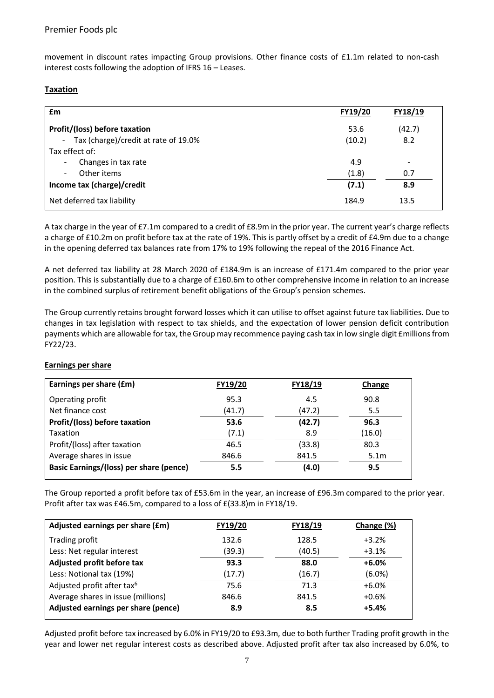movement in discount rates impacting Group provisions. Other finance costs of £1.1m related to non-cash interest costs following the adoption of IFRS 16 – Leases.

## **Taxation**

| £m                                     | FY19/20 | FY18/19                  |
|----------------------------------------|---------|--------------------------|
| Profit/(loss) before taxation          | 53.6    | (42.7)                   |
| - Tax (charge)/credit at rate of 19.0% | (10.2)  | 8.2                      |
| Tax effect of:                         |         |                          |
| Changes in tax rate                    | 4.9     | $\overline{\phantom{a}}$ |
| Other items                            | (1.8)   | 0.7                      |
| Income tax (charge)/credit             | (7.1)   | 8.9                      |
| Net deferred tax liability             | 184.9   | 13.5                     |

A tax charge in the year of £7.1m compared to a credit of £8.9m in the prior year. The current year's charge reflects a charge of £10.2m on profit before tax at the rate of 19%. This is partly offset by a credit of £4.9m due to a change in the opening deferred tax balances rate from 17% to 19% following the repeal of the 2016 Finance Act.

A net deferred tax liability at 28 March 2020 of £184.9m is an increase of £171.4m compared to the prior year position. This is substantially due to a charge of £160.6m to other comprehensive income in relation to an increase in the combined surplus of retirement benefit obligations of the Group's pension schemes.

The Group currently retains brought forward losses which it can utilise to offset against future tax liabilities. Due to changes in tax legislation with respect to tax shields, and the expectation of lower pension deficit contribution payments which are allowable for tax, the Group may recommence paying cash tax in low single digit £millions from FY22/23.

| Earnings per share (£m)                 | FY19/20 | FY18/19 | Change           |
|-----------------------------------------|---------|---------|------------------|
| Operating profit                        | 95.3    | 4.5     | 90.8             |
| Net finance cost                        | (41.7)  | (47.2)  | 5.5              |
| Profit/(loss) before taxation           | 53.6    | (42.7)  | 96.3             |
| Taxation                                | (7.1)   | 8.9     | (16.0)           |
| Profit/(loss) after taxation            | 46.5    | (33.8)  | 80.3             |
| Average shares in issue                 | 846.6   | 841.5   | 5.1 <sub>m</sub> |
| Basic Earnings/(loss) per share (pence) | 5.5     | (4.0)   | 9.5              |

## **Earnings per share**

The Group reported a profit before tax of £53.6m in the year, an increase of £96.3m compared to the prior year. Profit after tax was £46.5m, compared to a loss of £(33.8)m in FY18/19.

| Adjusted earnings per share (£m)       | FY19/20 | FY18/19 | Change (%) |
|----------------------------------------|---------|---------|------------|
| Trading profit                         | 132.6   | 128.5   | $+3.2%$    |
| Less: Net regular interest             | (39.3)  | (40.5)  | $+3.1%$    |
| Adjusted profit before tax             | 93.3    | 88.0    | $+6.0%$    |
| Less: Notional tax (19%)               | (17.7)  | (16.7)  | $(6.0\%)$  |
| Adjusted profit after tax <sup>6</sup> | 75.6    | 71.3    | $+6.0\%$   |
| Average shares in issue (millions)     | 846.6   | 841.5   | $+0.6%$    |
| Adjusted earnings per share (pence)    | 8.9     | 8.5     | $+5.4%$    |

Adjusted profit before tax increased by 6.0% in FY19/20 to £93.3m, due to both further Trading profit growth in the year and lower net regular interest costs as described above. Adjusted profit after tax also increased by 6.0%, to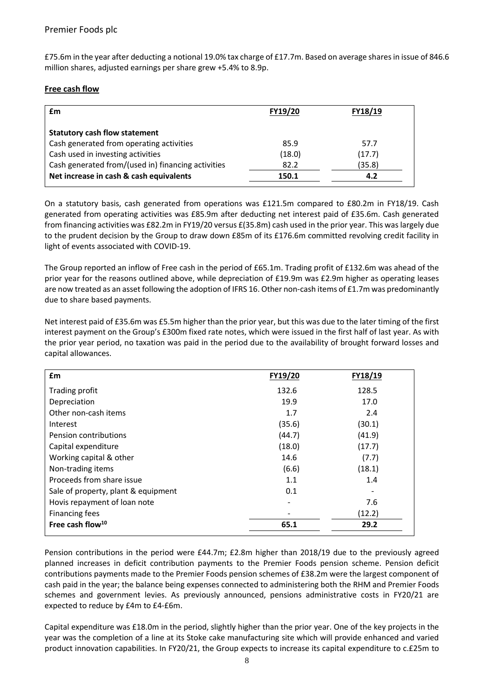£75.6m in the year after deducting a notional 19.0% tax charge of £17.7m. Based on average shares in issue of 846.6 million shares, adjusted earnings per share grew +5.4% to 8.9p.

#### **Free cash flow**

| £m                                                 | FY19/20 | FY18/19 |
|----------------------------------------------------|---------|---------|
| <b>Statutory cash flow statement</b>               |         |         |
| Cash generated from operating activities           | 85.9    | 57.7    |
| Cash used in investing activities                  | (18.0)  | (17.7)  |
| Cash generated from/(used in) financing activities | 82.2    | (35.8)  |
| Net increase in cash & cash equivalents            | 150.1   | 4.2     |

On a statutory basis, cash generated from operations was £121.5m compared to £80.2m in FY18/19. Cash generated from operating activities was £85.9m after deducting net interest paid of £35.6m. Cash generated from financing activities was £82.2m in FY19/20 versus £(35.8m) cash used in the prior year. This was largely due to the prudent decision by the Group to draw down £85m of its £176.6m committed revolving credit facility in light of events associated with COVID-19.

The Group reported an inflow of Free cash in the period of £65.1m. Trading profit of £132.6m was ahead of the prior year for the reasons outlined above, while depreciation of £19.9m was £2.9m higher as operating leases are now treated as an asset following the adoption of IFRS 16. Other non-cash items of £1.7m was predominantly due to share based payments.

Net interest paid of £35.6m was £5.5m higher than the prior year, but this was due to the later timing of the first interest payment on the Group's £300m fixed rate notes, which were issued in the first half of last year. As with the prior year period, no taxation was paid in the period due to the availability of brought forward losses and capital allowances.

| £m                                  | FY19/20 | FY18/19 |
|-------------------------------------|---------|---------|
| Trading profit                      | 132.6   | 128.5   |
| Depreciation                        | 19.9    | 17.0    |
| Other non-cash items                | 1.7     | 2.4     |
| Interest                            | (35.6)  | (30.1)  |
| Pension contributions               | (44.7)  | (41.9)  |
| Capital expenditure                 | (18.0)  | (17.7)  |
| Working capital & other             | 14.6    | (7.7)   |
| Non-trading items                   | (6.6)   | (18.1)  |
| Proceeds from share issue           | 1.1     | 1.4     |
| Sale of property, plant & equipment | 0.1     |         |
| Hovis repayment of loan note        |         | 7.6     |
| <b>Financing fees</b>               |         | (12.2)  |
| Free cash flow <sup>10</sup>        | 65.1    | 29.2    |

Pension contributions in the period were £44.7m; £2.8m higher than 2018/19 due to the previously agreed planned increases in deficit contribution payments to the Premier Foods pension scheme. Pension deficit contributions payments made to the Premier Foods pension schemes of £38.2m were the largest component of cash paid in the year; the balance being expenses connected to administering both the RHM and Premier Foods schemes and government levies. As previously announced, pensions administrative costs in FY20/21 are expected to reduce by £4m to £4-£6m.

Capital expenditure was £18.0m in the period, slightly higher than the prior year. One of the key projects in the year was the completion of a line at its Stoke cake manufacturing site which will provide enhanced and varied product innovation capabilities. In FY20/21, the Group expects to increase its capital expenditure to c.£25m to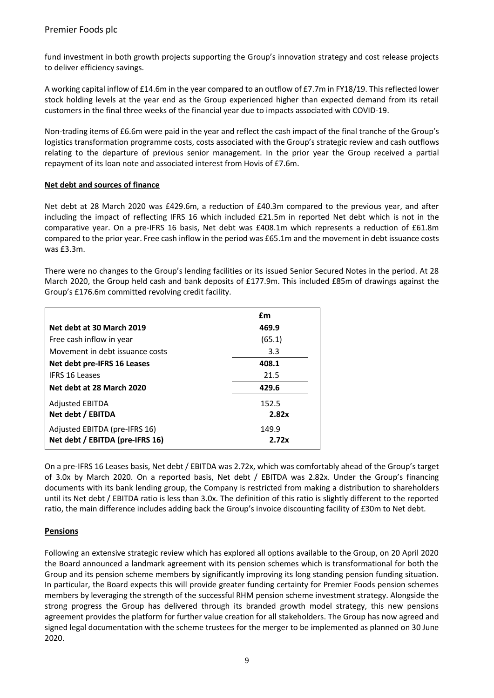fund investment in both growth projects supporting the Group's innovation strategy and cost release projects to deliver efficiency savings.

A working capital inflow of £14.6m in the year compared to an outflow of £7.7m in FY18/19. This reflected lower stock holding levels at the year end as the Group experienced higher than expected demand from its retail customers in the final three weeks of the financial year due to impacts associated with COVID-19.

Non-trading items of £6.6m were paid in the year and reflect the cash impact of the final tranche of the Group's logistics transformation programme costs, costs associated with the Group's strategic review and cash outflows relating to the departure of previous senior management. In the prior year the Group received a partial repayment of its loan note and associated interest from Hovis of £7.6m.

#### **Net debt and sources of finance**

Net debt at 28 March 2020 was £429.6m, a reduction of £40.3m compared to the previous year, and after including the impact of reflecting IFRS 16 which included £21.5m in reported Net debt which is not in the comparative year. On a pre-IFRS 16 basis, Net debt was £408.1m which represents a reduction of £61.8m compared to the prior year. Free cash inflow in the period was £65.1m and the movement in debt issuance costs was £3.3m.

There were no changes to the Group's lending facilities or its issued Senior Secured Notes in the period. At 28 March 2020, the Group held cash and bank deposits of £177.9m. This included £85m of drawings against the Group's £176.6m committed revolving credit facility.

|                                 | £m     |
|---------------------------------|--------|
| Net debt at 30 March 2019       | 469.9  |
| Free cash inflow in year        | (65.1) |
| Movement in debt issuance costs | 3.3    |
| Net debt pre-IFRS 16 Leases     | 408.1  |
| <b>IFRS 16 Leases</b>           | 21.5   |
| Net debt at 28 March 2020       | 429.6  |
| <b>Adjusted EBITDA</b>          | 152.5  |
| Net debt / EBITDA               | 2.82x  |
| Adjusted EBITDA (pre-IFRS 16)   | 149.9  |
| Net debt / EBITDA (pre-IFRS 16) | 2.72x  |

On a pre-IFRS 16 Leases basis, Net debt / EBITDA was 2.72x, which was comfortably ahead of the Group's target of 3.0x by March 2020. On a reported basis, Net debt / EBITDA was 2.82x. Under the Group's financing documents with its bank lending group, the Company is restricted from making a distribution to shareholders until its Net debt / EBITDA ratio is less than 3.0x. The definition of this ratio is slightly different to the reported ratio, the main difference includes adding back the Group's invoice discounting facility of £30m to Net debt.

## **Pensions**

Following an extensive strategic review which has explored all options available to the Group, on 20 April 2020 the Board announced a landmark agreement with its pension schemes which is transformational for both the Group and its pension scheme members by significantly improving its long standing pension funding situation. In particular, the Board expects this will provide greater funding certainty for Premier Foods pension schemes members by leveraging the strength of the successful RHM pension scheme investment strategy. Alongside the strong progress the Group has delivered through its branded growth model strategy, this new pensions agreement provides the platform for further value creation for all stakeholders. The Group has now agreed and signed legal documentation with the scheme trustees for the merger to be implemented as planned on 30 June 2020.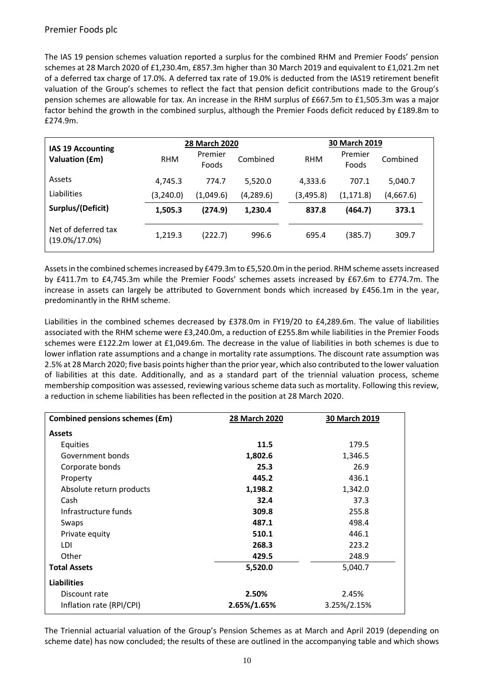## Premier Foods plc

The IAS 19 pension schemes valuation reported a surplus for the combined RHM and Premier Foods' pension schemes at 28 March 2020 of £1,230.4m, £857.3m higher than 30 March 2019 and equivalent to £1,021.2m net of a deferred tax charge of 17.0%. A deferred tax rate of 19.0% is deducted from the IAS19 retirement benefit valuation of the Group's schemes to reflect the fact that pension deficit contributions made to the Group's pension schemes are allowable for tax. An increase in the RHM surplus of £667.5m to £1,505.3m was a major factor behind the growth in the combined surplus, although the Premier Foods deficit reduced by £189.8m to £274.9m.

|                                                   |            | 28 March 2020    |           |            | 30 March 2019    |           |  |  |
|---------------------------------------------------|------------|------------------|-----------|------------|------------------|-----------|--|--|
| <b>IAS 19 Accounting</b><br><b>Valuation (£m)</b> | <b>RHM</b> | Premier<br>Foods | Combined  | <b>RHM</b> | Premier<br>Foods | Combined  |  |  |
| Assets                                            | 4,745.3    | 774.7            | 5,520.0   | 4,333.6    | 707.1            | 5,040.7   |  |  |
| Liabilities                                       | (3,240.0)  | (1,049.6)        | (4,289.6) | (3,495.8)  | (1, 171.8)       | (4,667.6) |  |  |
| Surplus/(Deficit)                                 | 1,505.3    | (274.9)          | 1,230.4   | 837.8      | (464.7)          | 373.1     |  |  |
| Net of deferred tax<br>$(19.0\%/17.0\%)$          | 1,219.3    | (222.7)          | 996.6     | 695.4      | (385.7)          | 309.7     |  |  |

Assets in the combined schemes increased by £479.3m to £5,520.0m in the period. RHM scheme assets increased by £411.7m to £4,745.3m while the Premier Foods' schemes assets increased by £67.6m to £774.7m. The increase in assets can largely be attributed to Government bonds which increased by £456.1m in the year, predominantly in the RHM scheme.

Liabilities in the combined schemes decreased by £378.0m in FY19/20 to £4,289.6m. The value of liabilities associated with the RHM scheme were £3,240.0m, a reduction of £255.8m while liabilities in the Premier Foods schemes were £122.2m lower at £1,049.6m. The decrease in the value of liabilities in both schemes is due to lower inflation rate assumptions and a change in mortality rate assumptions. The discount rate assumption was 2.5% at 28 March 2020; five basis points higher than the prior year, which also contributed to the lower valuation of liabilities at this date. Additionally, and as a standard part of the triennial valuation process, scheme membership composition was assessed, reviewing various scheme data such as mortality. Following this review, a reduction in scheme liabilities has been reflected in the position at 28 March 2020.

| Combined pensions schemes (£m) | 28 March 2020 | 30 March 2019 |
|--------------------------------|---------------|---------------|
| <b>Assets</b>                  |               |               |
| Equities                       | 11.5          | 179.5         |
| Government bonds               | 1,802.6       | 1,346.5       |
| Corporate bonds                | 25.3          | 26.9          |
| Property                       | 445.2         | 436.1         |
| Absolute return products       | 1,198.2       | 1,342.0       |
| Cash                           | 32.4          | 37.3          |
| Infrastructure funds           | 309.8         | 255.8         |
| Swaps                          | 487.1         | 498.4         |
| Private equity                 | 510.1         | 446.1         |
| LDI                            | 268.3         | 223.2         |
| Other                          | 429.5         | 248.9         |
| <b>Total Assets</b>            | 5,520.0       | 5,040.7       |
| <b>Liabilities</b>             |               |               |
| Discount rate                  | 2.50%         | 2.45%         |
| Inflation rate (RPI/CPI)       | 2.65%/1.65%   | 3.25%/2.15%   |

The Triennial actuarial valuation of the Group's Pension Schemes as at March and April 2019 (depending on scheme date) has now concluded; the results of these are outlined in the accompanying table and which shows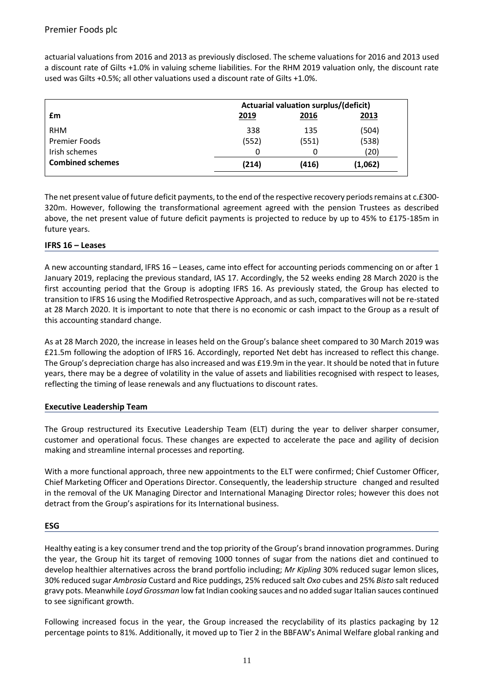actuarial valuations from 2016 and 2013 as previously disclosed. The scheme valuations for 2016 and 2013 used a discount rate of Gilts +1.0% in valuing scheme liabilities. For the RHM 2019 valuation only, the discount rate used was Gilts +0.5%; all other valuations used a discount rate of Gilts +1.0%.

|                         |       | Actuarial valuation surplus/(deficit) |         |  |  |  |
|-------------------------|-------|---------------------------------------|---------|--|--|--|
| £m                      | 2019  | 2016                                  | 2013    |  |  |  |
| <b>RHM</b>              | 338   | 135                                   | (504)   |  |  |  |
| <b>Premier Foods</b>    | (552) | (551)                                 | (538)   |  |  |  |
| Irish schemes           | 0     | 0                                     | (20)    |  |  |  |
| <b>Combined schemes</b> | (214) | (416)                                 | (1,062) |  |  |  |

The net present value of future deficit payments, to the end of the respective recovery periods remains at c.£300- 320m. However, following the transformational agreement agreed with the pension Trustees as described above, the net present value of future deficit payments is projected to reduce by up to 45% to £175-185m in future years.

#### **IFRS 16 – Leases**

A new accounting standard, IFRS 16 – Leases, came into effect for accounting periods commencing on or after 1 January 2019, replacing the previous standard, IAS 17. Accordingly, the 52 weeks ending 28 March 2020 is the first accounting period that the Group is adopting IFRS 16. As previously stated, the Group has elected to transition to IFRS 16 using the Modified Retrospective Approach, and as such, comparatives will not be re-stated at 28 March 2020. It is important to note that there is no economic or cash impact to the Group as a result of this accounting standard change.

As at 28 March 2020, the increase in leases held on the Group's balance sheet compared to 30 March 2019 was £21.5m following the adoption of IFRS 16. Accordingly, reported Net debt has increased to reflect this change. The Group's depreciation charge has also increased and was £19.9m in the year. It should be noted that in future years, there may be a degree of volatility in the value of assets and liabilities recognised with respect to leases, reflecting the timing of lease renewals and any fluctuations to discount rates.

## **Executive Leadership Team**

The Group restructured its Executive Leadership Team (ELT) during the year to deliver sharper consumer, customer and operational focus. These changes are expected to accelerate the pace and agility of decision making and streamline internal processes and reporting.

With a more functional approach, three new appointments to the ELT were confirmed; Chief Customer Officer, Chief Marketing Officer and Operations Director. Consequently, the leadership structure changed and resulted in the removal of the UK Managing Director and International Managing Director roles; however this does not detract from the Group's aspirations for its International business.

#### **ESG**

Healthy eating is a key consumer trend and the top priority of the Group's brand innovation programmes. During the year, the Group hit its target of removing 1000 tonnes of sugar from the nations diet and continued to develop healthier alternatives across the brand portfolio including; *Mr Kipling* 30% reduced sugar lemon slices, 30% reduced sugar *Ambrosia* Custard and Rice puddings, 25% reduced salt *Oxo* cubes and 25% *Bisto* salt reduced gravy pots. Meanwhile *Loyd Grossman* low fat Indian cooking sauces and no added sugar Italian sauces continued to see significant growth.

Following increased focus in the year, the Group increased the recyclability of its plastics packaging by 12 percentage points to 81%. Additionally, it moved up to Tier 2 in the BBFAW's Animal Welfare global ranking and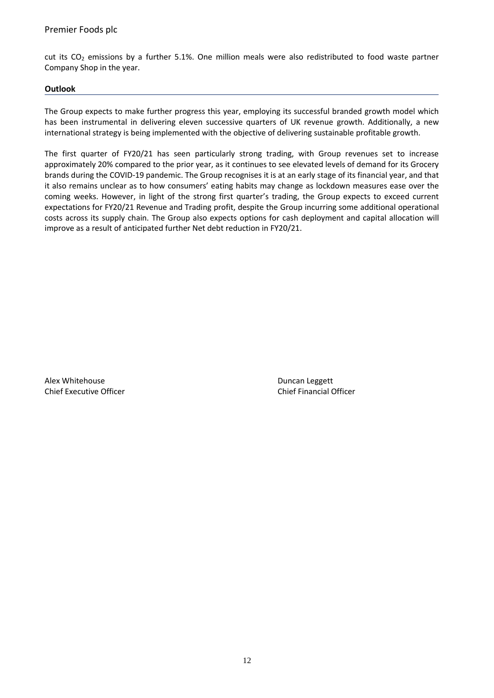cut its  $CO<sub>2</sub>$  emissions by a further 5.1%. One million meals were also redistributed to food waste partner Company Shop in the year.

## **Outlook**

The Group expects to make further progress this year, employing its successful branded growth model which has been instrumental in delivering eleven successive quarters of UK revenue growth. Additionally, a new international strategy is being implemented with the objective of delivering sustainable profitable growth.

The first quarter of FY20/21 has seen particularly strong trading, with Group revenues set to increase approximately 20% compared to the prior year, as it continues to see elevated levels of demand for its Grocery brands during the COVID-19 pandemic. The Group recognises it is at an early stage of its financial year, and that it also remains unclear as to how consumers' eating habits may change as lockdown measures ease over the coming weeks. However, in light of the strong first quarter's trading, the Group expects to exceed current expectations for FY20/21 Revenue and Trading profit, despite the Group incurring some additional operational costs across its supply chain. The Group also expects options for cash deployment and capital allocation will improve as a result of anticipated further Net debt reduction in FY20/21.

Alex Whitehouse **Duncan Leggett** Chief Executive Officer Chief Financial Officer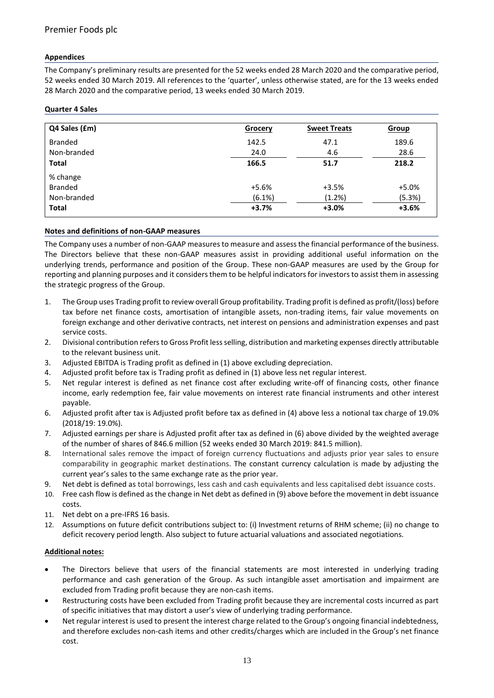#### **Appendices**

The Company's preliminary results are presented for the 52 weeks ended 28 March 2020 and the comparative period, 52 weeks ended 30 March 2019. All references to the 'quarter', unless otherwise stated, are for the 13 weeks ended 28 March 2020 and the comparative period, 13 weeks ended 30 March 2019.

#### **Quarter 4 Sales**

| Q4 Sales (£m)  | Grocery | <b>Sweet Treats</b> | <b>Group</b> |
|----------------|---------|---------------------|--------------|
| <b>Branded</b> | 142.5   | 47.1                | 189.6        |
| Non-branded    | 24.0    | 4.6                 | 28.6         |
| <b>Total</b>   | 166.5   | 51.7                | 218.2        |
| % change       |         |                     |              |
| <b>Branded</b> | $+5.6%$ | $+3.5%$             | $+5.0%$      |
| Non-branded    | (6.1%)  | (1.2%)              | (5.3%)       |
| <b>Total</b>   | $+3.7%$ | $+3.0%$             | $+3.6%$      |

#### **Notes and definitions of non-GAAP measures**

The Company uses a number of non-GAAP measures to measure and assess the financial performance of the business. The Directors believe that these non-GAAP measures assist in providing additional useful information on the underlying trends, performance and position of the Group. These non-GAAP measures are used by the Group for reporting and planning purposes and it considers them to be helpful indicators for investors to assist them in assessing the strategic progress of the Group.

- 1. The Group uses Trading profit to review overall Group profitability. Trading profit is defined as profit/(loss) before tax before net finance costs, amortisation of intangible assets, non-trading items, fair value movements on foreign exchange and other derivative contracts, net interest on pensions and administration expenses and past service costs.
- 2. Divisional contribution refers to Gross Profit less selling, distribution and marketing expenses directly attributable to the relevant business unit.
- 3. Adjusted EBITDA is Trading profit as defined in (1) above excluding depreciation.
- 4. Adjusted profit before tax is Trading profit as defined in (1) above less net regular interest.
- 5. Net regular interest is defined as net finance cost after excluding write-off of financing costs, other finance income, early redemption fee, fair value movements on interest rate financial instruments and other interest payable.
- 6. Adjusted profit after tax is Adjusted profit before tax as defined in (4) above less a notional tax charge of 19.0% (2018/19: 19.0%).
- 7. Adjusted earnings per share is Adjusted profit after tax as defined in (6) above divided by the weighted average of the number of shares of 846.6 million (52 weeks ended 30 March 2019: 841.5 million).
- 8. International sales remove the impact of foreign currency fluctuations and adjusts prior year sales to ensure comparability in geographic market destinations. The constant currency calculation is made by adjusting the current year's sales to the same exchange rate as the prior year.
- 9. Net debt is defined as total borrowings, less cash and cash equivalents and less capitalised debt issuance costs.
- 10. Free cash flow is defined as the change in Net debt as defined in (9) above before the movement in debt issuance costs.
- 11. Net debt on a pre-IFRS 16 basis.
- 12. Assumptions on future deficit contributions subject to: (i) Investment returns of RHM scheme; (ii) no change to deficit recovery period length. Also subject to future actuarial valuations and associated negotiations.

#### **Additional notes:**

- The Directors believe that users of the financial statements are most interested in underlying trading performance and cash generation of the Group. As such intangible asset amortisation and impairment are excluded from Trading profit because they are non-cash items.
- Restructuring costs have been excluded from Trading profit because they are incremental costs incurred as part of specific initiatives that may distort a user's view of underlying trading performance.
- Net regular interest is used to present the interest charge related to the Group's ongoing financial indebtedness, and therefore excludes non-cash items and other credits/charges which are included in the Group's net finance cost.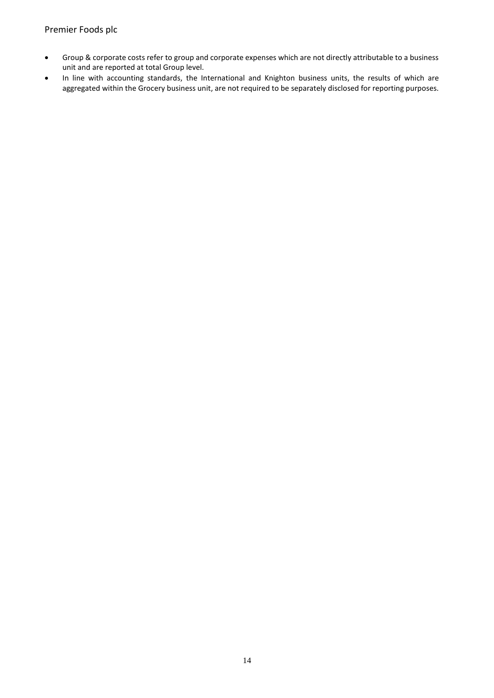# Premier Foods plc

- Group & corporate costs refer to group and corporate expenses which are not directly attributable to a business unit and are reported at total Group level.
- In line with accounting standards, the International and Knighton business units, the results of which are aggregated within the Grocery business unit, are not required to be separately disclosed for reporting purposes.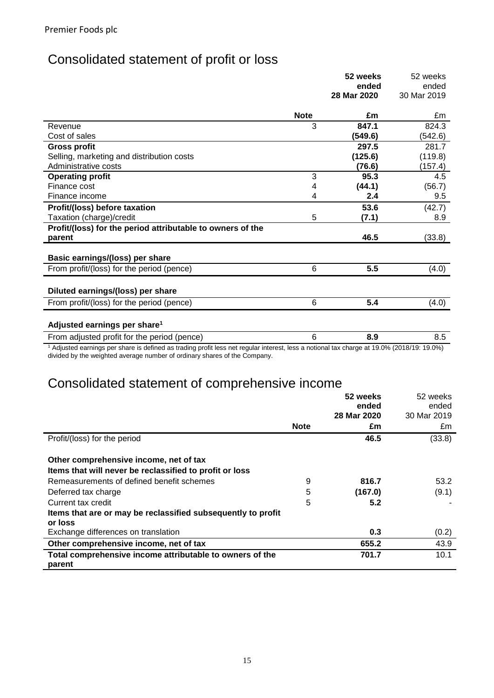# Consolidated statement of profit or loss

|                                                                                                                                                       |             | 52 weeks    | 52 weeks    |
|-------------------------------------------------------------------------------------------------------------------------------------------------------|-------------|-------------|-------------|
|                                                                                                                                                       |             | ended       | ended       |
|                                                                                                                                                       |             | 28 Mar 2020 | 30 Mar 2019 |
|                                                                                                                                                       | <b>Note</b> | £m          | £m          |
| Revenue                                                                                                                                               | 3           | 847.1       | 824.3       |
| Cost of sales                                                                                                                                         |             | (549.6)     | (542.6)     |
| <b>Gross profit</b>                                                                                                                                   |             | 297.5       | 281.7       |
| Selling, marketing and distribution costs                                                                                                             |             | (125.6)     | (119.8)     |
| Administrative costs                                                                                                                                  |             | (76.6)      | (157.4)     |
| <b>Operating profit</b>                                                                                                                               | 3           | 95.3        | 4.5         |
| Finance cost                                                                                                                                          | 4           | (44.1)      | (56.7)      |
| Finance income                                                                                                                                        | 4           | 2.4         | 9.5         |
| Profit/(loss) before taxation                                                                                                                         |             | 53.6        | (42.7)      |
| Taxation (charge)/credit                                                                                                                              | 5           | (7.1)       | 8.9         |
| Profit/(loss) for the period attributable to owners of the                                                                                            |             |             |             |
| parent                                                                                                                                                |             | 46.5        | (33.8)      |
| Basic earnings/(loss) per share                                                                                                                       |             |             |             |
| From profit/(loss) for the period (pence)                                                                                                             | 6           | 5.5         | (4.0)       |
| Diluted earnings/(loss) per share                                                                                                                     |             |             |             |
| From profit/(loss) for the period (pence)                                                                                                             | 6           | 5.4         | (4.0)       |
| Adjusted earnings per share <sup>1</sup>                                                                                                              |             |             |             |
| From adjusted profit for the period (pence)                                                                                                           | 6           | 8.9         | 8.5         |
| <sup>1</sup> Adjusted earnings per share is defined as trading profit less net regular interest, less a notional tax charge at 19.0% (2018/19: 19.0%) |             |             |             |

divided by the weighted average number of ordinary shares of the Company.

# Consolidated statement of comprehensive income

|                                                                                                   |             | 52 weeks<br>ended<br>28 Mar 2020 | 52 weeks<br>ended<br>30 Mar 2019 |
|---------------------------------------------------------------------------------------------------|-------------|----------------------------------|----------------------------------|
|                                                                                                   | <b>Note</b> | £m                               | £m                               |
| Profit/(loss) for the period                                                                      |             | 46.5                             | (33.8)                           |
| Other comprehensive income, net of tax<br>Items that will never be reclassified to profit or loss |             |                                  |                                  |
| Remeasurements of defined benefit schemes                                                         | 9           | 816.7                            | 53.2                             |
| Deferred tax charge                                                                               | 5           | (167.0)                          | (9.1)                            |
| Current tax credit                                                                                | 5           | 5.2                              |                                  |
| Items that are or may be reclassified subsequently to profit                                      |             |                                  |                                  |
| or loss                                                                                           |             |                                  |                                  |
| Exchange differences on translation                                                               |             | 0.3                              | (0.2)                            |
| Other comprehensive income, net of tax                                                            |             | 655.2                            | 43.9                             |
| Total comprehensive income attributable to owners of the                                          |             | 701.7                            | 10.1                             |
| parent                                                                                            |             |                                  |                                  |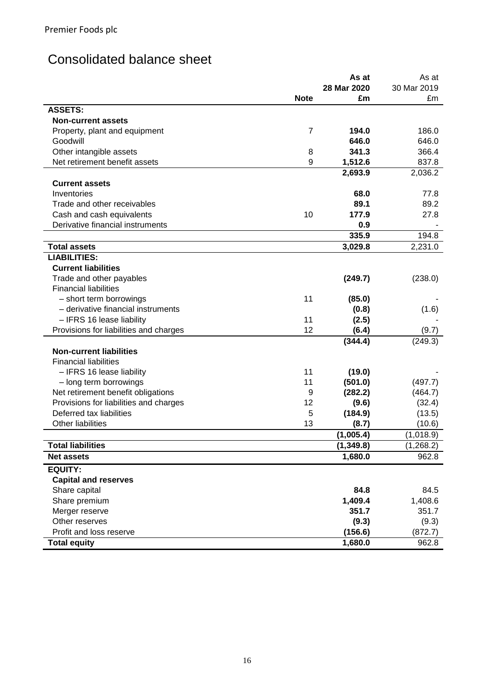# Consolidated balance sheet

| 28 Mar 2020<br>30 Mar 2019<br><b>Note</b><br>£m<br>£m<br><b>ASSETS:</b><br><b>Non-current assets</b><br>7<br>194.0<br>186.0<br>Property, plant and equipment<br>646.0<br>646.0<br>Goodwill<br>341.3<br>366.4<br>Other intangible assets<br>8<br>Net retirement benefit assets<br>9<br>837.8<br>1,512.6<br>2,036.2<br>2,693.9<br><b>Current assets</b><br>Inventories<br>68.0<br>77.8<br>89.1<br>89.2<br>Trade and other receivables<br>10<br>177.9<br>27.8<br>Cash and cash equivalents<br>Derivative financial instruments<br>0.9<br>335.9<br>194.8<br>2,231.0<br><b>Total assets</b><br>3,029.8<br><b>LIABILITIES:</b><br><b>Current liabilities</b><br>Trade and other payables<br>(249.7)<br>(238.0)<br><b>Financial liabilities</b><br>11<br>- short term borrowings<br>(85.0)<br>- derivative financial instruments<br>(1.6)<br>(0.8)<br>- IFRS 16 lease liability<br>11<br>(2.5)<br>12<br>Provisions for liabilities and charges<br>(6.4)<br>(9.7)<br>(344.4)<br>(249.3) |
|---------------------------------------------------------------------------------------------------------------------------------------------------------------------------------------------------------------------------------------------------------------------------------------------------------------------------------------------------------------------------------------------------------------------------------------------------------------------------------------------------------------------------------------------------------------------------------------------------------------------------------------------------------------------------------------------------------------------------------------------------------------------------------------------------------------------------------------------------------------------------------------------------------------------------------------------------------------------------------|
|                                                                                                                                                                                                                                                                                                                                                                                                                                                                                                                                                                                                                                                                                                                                                                                                                                                                                                                                                                                 |
|                                                                                                                                                                                                                                                                                                                                                                                                                                                                                                                                                                                                                                                                                                                                                                                                                                                                                                                                                                                 |
|                                                                                                                                                                                                                                                                                                                                                                                                                                                                                                                                                                                                                                                                                                                                                                                                                                                                                                                                                                                 |
|                                                                                                                                                                                                                                                                                                                                                                                                                                                                                                                                                                                                                                                                                                                                                                                                                                                                                                                                                                                 |
|                                                                                                                                                                                                                                                                                                                                                                                                                                                                                                                                                                                                                                                                                                                                                                                                                                                                                                                                                                                 |
|                                                                                                                                                                                                                                                                                                                                                                                                                                                                                                                                                                                                                                                                                                                                                                                                                                                                                                                                                                                 |
|                                                                                                                                                                                                                                                                                                                                                                                                                                                                                                                                                                                                                                                                                                                                                                                                                                                                                                                                                                                 |
|                                                                                                                                                                                                                                                                                                                                                                                                                                                                                                                                                                                                                                                                                                                                                                                                                                                                                                                                                                                 |
|                                                                                                                                                                                                                                                                                                                                                                                                                                                                                                                                                                                                                                                                                                                                                                                                                                                                                                                                                                                 |
|                                                                                                                                                                                                                                                                                                                                                                                                                                                                                                                                                                                                                                                                                                                                                                                                                                                                                                                                                                                 |
|                                                                                                                                                                                                                                                                                                                                                                                                                                                                                                                                                                                                                                                                                                                                                                                                                                                                                                                                                                                 |
|                                                                                                                                                                                                                                                                                                                                                                                                                                                                                                                                                                                                                                                                                                                                                                                                                                                                                                                                                                                 |
|                                                                                                                                                                                                                                                                                                                                                                                                                                                                                                                                                                                                                                                                                                                                                                                                                                                                                                                                                                                 |
|                                                                                                                                                                                                                                                                                                                                                                                                                                                                                                                                                                                                                                                                                                                                                                                                                                                                                                                                                                                 |
|                                                                                                                                                                                                                                                                                                                                                                                                                                                                                                                                                                                                                                                                                                                                                                                                                                                                                                                                                                                 |
|                                                                                                                                                                                                                                                                                                                                                                                                                                                                                                                                                                                                                                                                                                                                                                                                                                                                                                                                                                                 |
|                                                                                                                                                                                                                                                                                                                                                                                                                                                                                                                                                                                                                                                                                                                                                                                                                                                                                                                                                                                 |
|                                                                                                                                                                                                                                                                                                                                                                                                                                                                                                                                                                                                                                                                                                                                                                                                                                                                                                                                                                                 |
|                                                                                                                                                                                                                                                                                                                                                                                                                                                                                                                                                                                                                                                                                                                                                                                                                                                                                                                                                                                 |
|                                                                                                                                                                                                                                                                                                                                                                                                                                                                                                                                                                                                                                                                                                                                                                                                                                                                                                                                                                                 |
|                                                                                                                                                                                                                                                                                                                                                                                                                                                                                                                                                                                                                                                                                                                                                                                                                                                                                                                                                                                 |
|                                                                                                                                                                                                                                                                                                                                                                                                                                                                                                                                                                                                                                                                                                                                                                                                                                                                                                                                                                                 |
|                                                                                                                                                                                                                                                                                                                                                                                                                                                                                                                                                                                                                                                                                                                                                                                                                                                                                                                                                                                 |
|                                                                                                                                                                                                                                                                                                                                                                                                                                                                                                                                                                                                                                                                                                                                                                                                                                                                                                                                                                                 |
|                                                                                                                                                                                                                                                                                                                                                                                                                                                                                                                                                                                                                                                                                                                                                                                                                                                                                                                                                                                 |
| <b>Non-current liabilities</b>                                                                                                                                                                                                                                                                                                                                                                                                                                                                                                                                                                                                                                                                                                                                                                                                                                                                                                                                                  |
| <b>Financial liabilities</b>                                                                                                                                                                                                                                                                                                                                                                                                                                                                                                                                                                                                                                                                                                                                                                                                                                                                                                                                                    |
| 11<br>- IFRS 16 lease liability<br>(19.0)                                                                                                                                                                                                                                                                                                                                                                                                                                                                                                                                                                                                                                                                                                                                                                                                                                                                                                                                       |
| 11<br>- long term borrowings<br>(501.0)<br>(497.7)                                                                                                                                                                                                                                                                                                                                                                                                                                                                                                                                                                                                                                                                                                                                                                                                                                                                                                                              |
| Net retirement benefit obligations<br>9<br>(464.7)<br>(282.2)                                                                                                                                                                                                                                                                                                                                                                                                                                                                                                                                                                                                                                                                                                                                                                                                                                                                                                                   |
| Provisions for liabilities and charges<br>12<br>(9.6)<br>(32.4)                                                                                                                                                                                                                                                                                                                                                                                                                                                                                                                                                                                                                                                                                                                                                                                                                                                                                                                 |
| Deferred tax liabilities<br>5<br>(184.9)<br>(13.5)                                                                                                                                                                                                                                                                                                                                                                                                                                                                                                                                                                                                                                                                                                                                                                                                                                                                                                                              |
| 13<br><b>Other liabilities</b><br>(8.7)<br>(10.6)                                                                                                                                                                                                                                                                                                                                                                                                                                                                                                                                                                                                                                                                                                                                                                                                                                                                                                                               |
| (1,005.4)<br>(1,018.9)                                                                                                                                                                                                                                                                                                                                                                                                                                                                                                                                                                                                                                                                                                                                                                                                                                                                                                                                                          |
| (1, 349.8)<br>(1, 268.2)<br><b>Total liabilities</b>                                                                                                                                                                                                                                                                                                                                                                                                                                                                                                                                                                                                                                                                                                                                                                                                                                                                                                                            |
| 1,680.0<br>962.8<br><b>Net assets</b>                                                                                                                                                                                                                                                                                                                                                                                                                                                                                                                                                                                                                                                                                                                                                                                                                                                                                                                                           |
| <b>EQUITY:</b>                                                                                                                                                                                                                                                                                                                                                                                                                                                                                                                                                                                                                                                                                                                                                                                                                                                                                                                                                                  |
| <b>Capital and reserves</b>                                                                                                                                                                                                                                                                                                                                                                                                                                                                                                                                                                                                                                                                                                                                                                                                                                                                                                                                                     |
| Share capital<br>84.8<br>84.5                                                                                                                                                                                                                                                                                                                                                                                                                                                                                                                                                                                                                                                                                                                                                                                                                                                                                                                                                   |
| Share premium<br>1,409.4<br>1,408.6                                                                                                                                                                                                                                                                                                                                                                                                                                                                                                                                                                                                                                                                                                                                                                                                                                                                                                                                             |
| 351.7<br>351.7<br>Merger reserve                                                                                                                                                                                                                                                                                                                                                                                                                                                                                                                                                                                                                                                                                                                                                                                                                                                                                                                                                |
| Other reserves<br>(9.3)<br>(9.3)                                                                                                                                                                                                                                                                                                                                                                                                                                                                                                                                                                                                                                                                                                                                                                                                                                                                                                                                                |
| Profit and loss reserve<br>(156.6)<br>(872.7)                                                                                                                                                                                                                                                                                                                                                                                                                                                                                                                                                                                                                                                                                                                                                                                                                                                                                                                                   |
| <b>Total equity</b><br>1,680.0<br>962.8                                                                                                                                                                                                                                                                                                                                                                                                                                                                                                                                                                                                                                                                                                                                                                                                                                                                                                                                         |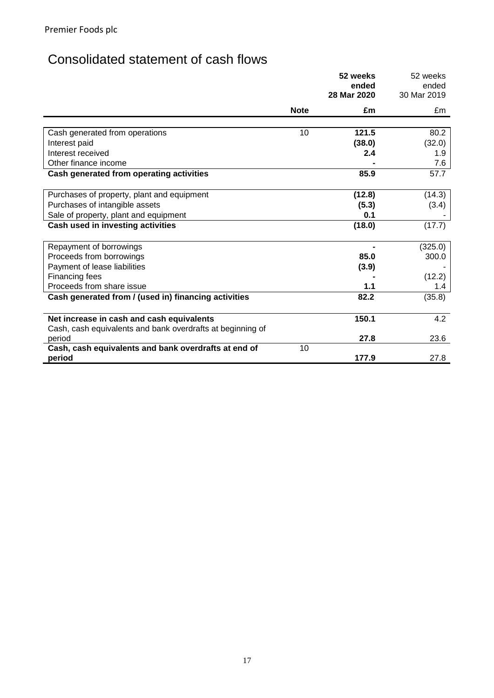# Consolidated statement of cash flows

|                                                            |             | 52 weeks<br>ended<br>28 Mar 2020 | 52 weeks<br>ended<br>30 Mar 2019 |
|------------------------------------------------------------|-------------|----------------------------------|----------------------------------|
|                                                            | <b>Note</b> | £m                               | £m                               |
|                                                            |             |                                  |                                  |
| Cash generated from operations                             | 10          | 121.5                            | 80.2                             |
| Interest paid                                              |             | (38.0)                           | (32.0)                           |
| Interest received                                          |             | 2.4                              | 1.9                              |
| Other finance income                                       |             |                                  | 7.6                              |
| Cash generated from operating activities                   |             | 85.9                             | 57.7                             |
| Purchases of property, plant and equipment                 |             | (12.8)                           | (14.3)                           |
| Purchases of intangible assets                             |             | (5.3)                            | (3.4)                            |
| Sale of property, plant and equipment                      |             | 0.1                              |                                  |
| Cash used in investing activities                          |             | (18.0)                           | (17.7)                           |
| Repayment of borrowings                                    |             |                                  | (325.0)                          |
| Proceeds from borrowings                                   |             | 85.0                             | 300.0                            |
| Payment of lease liabilities                               |             | (3.9)                            |                                  |
| <b>Financing fees</b>                                      |             |                                  | (12.2)                           |
| Proceeds from share issue                                  |             | 1.1                              | 1.4                              |
| Cash generated from / (used in) financing activities       |             | 82.2                             | (35.8)                           |
| Net increase in cash and cash equivalents                  |             | 150.1                            | 4.2                              |
| Cash, cash equivalents and bank overdrafts at beginning of |             |                                  |                                  |
| period                                                     |             | 27.8                             | 23.6                             |
| Cash, cash equivalents and bank overdrafts at end of       | 10          |                                  |                                  |
| period                                                     |             | 177.9                            | 27.8                             |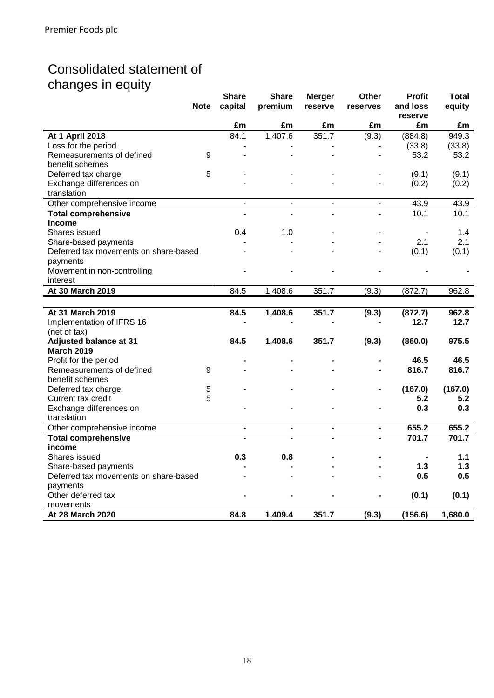# Consolidated statement of changes in equity

|                                               | <b>Note</b> | <b>Share</b><br>capital  | <b>Share</b><br>premium | <b>Merger</b><br>reserve | <b>Other</b><br>reserves | <b>Profit</b><br>and loss | <b>Total</b><br>equity |
|-----------------------------------------------|-------------|--------------------------|-------------------------|--------------------------|--------------------------|---------------------------|------------------------|
|                                               |             | £m                       | £m                      | £m                       | £m                       | reserve<br>£m             | £m                     |
| <b>At 1 April 2018</b>                        |             | 84.1                     | 1,407.6                 | 351.7                    | (9.3)                    | (884.8)                   | 949.3                  |
| Loss for the period                           |             |                          |                         |                          |                          | (33.8)                    | (33.8)                 |
| Remeasurements of defined                     | 9           |                          | L.                      |                          |                          | 53.2                      | 53.2                   |
| benefit schemes                               |             |                          |                         |                          |                          |                           |                        |
| Deferred tax charge                           | 5           |                          |                         |                          |                          | (9.1)                     | (9.1)                  |
| Exchange differences on                       |             |                          |                         |                          |                          | (0.2)                     | (0.2)                  |
| translation                                   |             |                          |                         |                          |                          |                           |                        |
| Other comprehensive income                    |             | $\overline{\phantom{a}}$ | $\blacksquare$          | $\blacksquare$           | $\blacksquare$           | 43.9                      | 43.9                   |
| <b>Total comprehensive</b>                    |             |                          |                         |                          |                          | 10.1                      | 10.1                   |
| income                                        |             |                          |                         |                          |                          |                           |                        |
| Shares issued                                 |             | 0.4                      | 1.0                     |                          |                          |                           | 1.4                    |
| Share-based payments                          |             |                          |                         |                          |                          | 2.1                       | 2.1                    |
| Deferred tax movements on share-based         |             |                          |                         |                          |                          | (0.1)                     | (0.1)                  |
| payments                                      |             |                          |                         |                          |                          |                           |                        |
| Movement in non-controlling                   |             |                          |                         |                          |                          |                           |                        |
| interest                                      |             |                          |                         |                          |                          |                           |                        |
| At 30 March 2019                              |             | 84.5                     | 1,408.6                 | 351.7                    | (9.3)                    | (872.7)                   | 962.8                  |
|                                               |             |                          |                         |                          |                          |                           |                        |
| At 31 March 2019                              |             | 84.5                     | 1,408.6                 | 351.7                    | (9.3)                    | (872.7)                   | 962.8                  |
| Implementation of IFRS 16                     |             |                          |                         |                          |                          | 12.7                      | 12.7                   |
| (net of tax)                                  |             |                          |                         |                          |                          |                           |                        |
| <b>Adjusted balance at 31</b>                 |             | 84.5                     | 1,408.6                 | 351.7                    | (9.3)                    | (860.0)                   | 975.5                  |
| <b>March 2019</b>                             |             |                          |                         |                          |                          |                           |                        |
| Profit for the period                         |             |                          |                         |                          |                          | 46.5                      | 46.5                   |
| Remeasurements of defined                     | 9           |                          |                         |                          |                          | 816.7                     | 816.7                  |
| benefit schemes                               |             |                          |                         |                          |                          |                           |                        |
| Deferred tax charge                           | 5<br>5      |                          |                         |                          |                          | (167.0)                   | (167.0)                |
| Current tax credit<br>Exchange differences on |             |                          |                         |                          |                          | 5.2<br>0.3                | 5.2<br>0.3             |
| translation                                   |             |                          |                         |                          |                          |                           |                        |
| Other comprehensive income                    |             | $\blacksquare$           | $\blacksquare$          | $\blacksquare$           | $\blacksquare$           | 655.2                     | 655.2                  |
| <b>Total comprehensive</b>                    |             |                          |                         |                          |                          | 701.7                     | 701.7                  |
| income                                        |             |                          |                         |                          |                          |                           |                        |
| Shares issued                                 |             | 0.3                      | 0.8                     |                          |                          |                           | 1.1                    |
| Share-based payments                          |             |                          |                         |                          |                          | 1.3                       | $1.3$                  |
| Deferred tax movements on share-based         |             |                          |                         |                          |                          | 0.5                       | 0.5                    |
| payments                                      |             |                          |                         |                          |                          |                           |                        |
| Other deferred tax                            |             |                          |                         |                          |                          | (0.1)                     | (0.1)                  |
| movements                                     |             |                          |                         |                          |                          |                           |                        |
| At 28 March 2020                              |             | 84.8                     | 1,409.4                 | 351.7                    | (9.3)                    | (156.6)                   | 1,680.0                |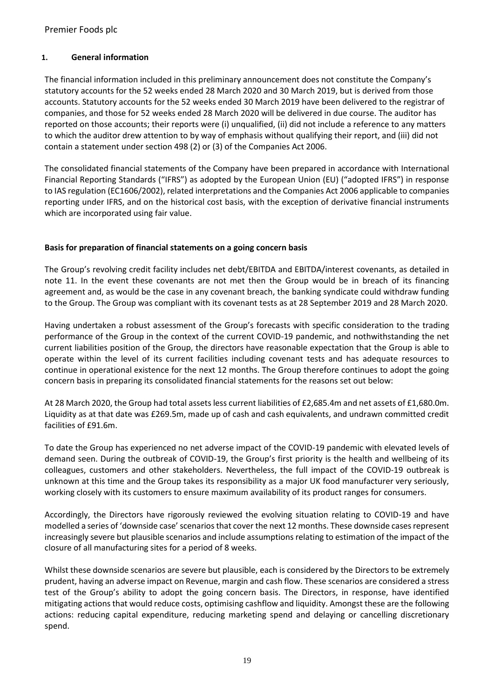# **1. General information**

The financial information included in this preliminary announcement does not constitute the Company's statutory accounts for the 52 weeks ended 28 March 2020 and 30 March 2019, but is derived from those accounts. Statutory accounts for the 52 weeks ended 30 March 2019 have been delivered to the registrar of companies, and those for 52 weeks ended 28 March 2020 will be delivered in due course. The auditor has reported on those accounts; their reports were (i) unqualified, (ii) did not include a reference to any matters to which the auditor drew attention to by way of emphasis without qualifying their report, and (iii) did not contain a statement under section 498 (2) or (3) of the Companies Act 2006.

The consolidated financial statements of the Company have been prepared in accordance with International Financial Reporting Standards ("IFRS") as adopted by the European Union (EU) ("adopted IFRS") in response to IAS regulation (EC1606/2002), related interpretations and the Companies Act 2006 applicable to companies reporting under IFRS, and on the historical cost basis, with the exception of derivative financial instruments which are incorporated using fair value.

# **Basis for preparation of financial statements on a going concern basis**

The Group's revolving credit facility includes net debt/EBITDA and EBITDA/interest covenants, as detailed in note 11. In the event these covenants are not met then the Group would be in breach of its financing agreement and, as would be the case in any covenant breach, the banking syndicate could withdraw funding to the Group. The Group was compliant with its covenant tests as at 28 September 2019 and 28 March 2020.

Having undertaken a robust assessment of the Group's forecasts with specific consideration to the trading performance of the Group in the context of the current COVID-19 pandemic, and nothwithstanding the net current liabilities position of the Group, the directors have reasonable expectation that the Group is able to operate within the level of its current facilities including covenant tests and has adequate resources to continue in operational existence for the next 12 months. The Group therefore continues to adopt the going concern basis in preparing its consolidated financial statements for the reasons set out below:

At 28 March 2020, the Group had total assets less current liabilities of £2,685.4m and net assets of £1,680.0m. Liquidity as at that date was £269.5m, made up of cash and cash equivalents, and undrawn committed credit facilities of £91.6m.

To date the Group has experienced no net adverse impact of the COVID-19 pandemic with elevated levels of demand seen. During the outbreak of COVID-19, the Group's first priority is the health and wellbeing of its colleagues, customers and other stakeholders. Nevertheless, the full impact of the COVID-19 outbreak is unknown at this time and the Group takes its responsibility as a major UK food manufacturer very seriously, working closely with its customers to ensure maximum availability of its product ranges for consumers.

Accordingly, the Directors have rigorously reviewed the evolving situation relating to COVID-19 and have modelled a series of 'downside case' scenarios that cover the next 12 months. These downside cases represent increasingly severe but plausible scenarios and include assumptions relating to estimation of the impact of the closure of all manufacturing sites for a period of 8 weeks.

Whilst these downside scenarios are severe but plausible, each is considered by the Directors to be extremely prudent, having an adverse impact on Revenue, margin and cash flow. These scenarios are considered a stress test of the Group's ability to adopt the going concern basis. The Directors, in response, have identified mitigating actions that would reduce costs, optimising cashflow and liquidity. Amongst these are the following actions: reducing capital expenditure, reducing marketing spend and delaying or cancelling discretionary spend.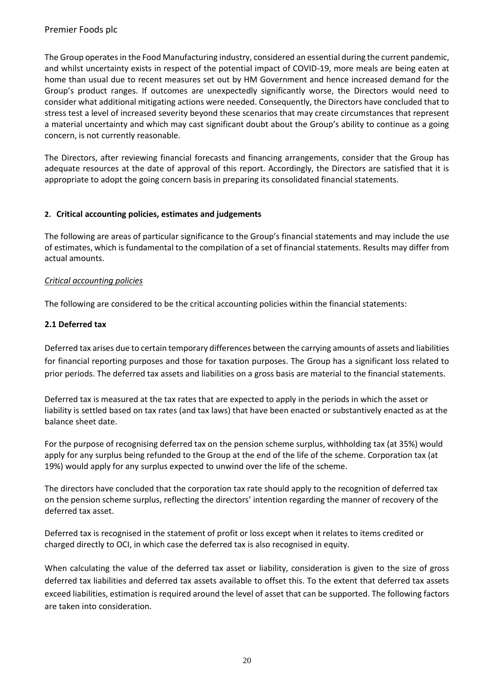The Group operates in the Food Manufacturing industry, considered an essential during the current pandemic, and whilst uncertainty exists in respect of the potential impact of COVID-19, more meals are being eaten at home than usual due to recent measures set out by HM Government and hence increased demand for the Group's product ranges. If outcomes are unexpectedly significantly worse, the Directors would need to consider what additional mitigating actions were needed. Consequently, the Directors have concluded that to stress test a level of increased severity beyond these scenarios that may create circumstances that represent a material uncertainty and which may cast significant doubt about the Group's ability to continue as a going concern, is not currently reasonable.

The Directors, after reviewing financial forecasts and financing arrangements, consider that the Group has adequate resources at the date of approval of this report. Accordingly, the Directors are satisfied that it is appropriate to adopt the going concern basis in preparing its consolidated financial statements.

# **2. Critical accounting policies, estimates and judgements**

The following are areas of particular significance to the Group's financial statements and may include the use of estimates, which is fundamental to the compilation of a set of financial statements. Results may differ from actual amounts.

# *Critical accounting policies*

The following are considered to be the critical accounting policies within the financial statements:

# **2.1 Deferred tax**

Deferred tax arises due to certain temporary differences between the carrying amounts of assets and liabilities for financial reporting purposes and those for taxation purposes. The Group has a significant loss related to prior periods. The deferred tax assets and liabilities on a gross basis are material to the financial statements.

Deferred tax is measured at the tax rates that are expected to apply in the periods in which the asset or liability is settled based on tax rates (and tax laws) that have been enacted or substantively enacted as at the balance sheet date.

For the purpose of recognising deferred tax on the pension scheme surplus, withholding tax (at 35%) would apply for any surplus being refunded to the Group at the end of the life of the scheme. Corporation tax (at 19%) would apply for any surplus expected to unwind over the life of the scheme.

The directors have concluded that the corporation tax rate should apply to the recognition of deferred tax on the pension scheme surplus, reflecting the directors' intention regarding the manner of recovery of the deferred tax asset.

Deferred tax is recognised in the statement of profit or loss except when it relates to items credited or charged directly to OCI, in which case the deferred tax is also recognised in equity.

When calculating the value of the deferred tax asset or liability, consideration is given to the size of gross deferred tax liabilities and deferred tax assets available to offset this. To the extent that deferred tax assets exceed liabilities, estimation is required around the level of asset that can be supported. The following factors are taken into consideration.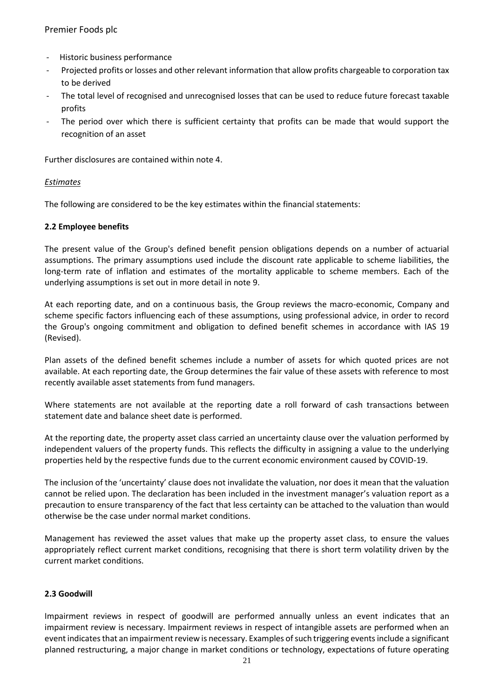# Premier Foods plc

- Historic business performance
- Projected profits or losses and other relevant information that allow profits chargeable to corporation tax to be derived
- The total level of recognised and unrecognised losses that can be used to reduce future forecast taxable profits
- The period over which there is sufficient certainty that profits can be made that would support the recognition of an asset

Further disclosures are contained within note 4.

#### *Estimates*

The following are considered to be the key estimates within the financial statements:

#### **2.2 Employee benefits**

The present value of the Group's defined benefit pension obligations depends on a number of actuarial assumptions. The primary assumptions used include the discount rate applicable to scheme liabilities, the long-term rate of inflation and estimates of the mortality applicable to scheme members. Each of the underlying assumptions is set out in more detail in note 9.

At each reporting date, and on a continuous basis, the Group reviews the macro-economic, Company and scheme specific factors influencing each of these assumptions, using professional advice, in order to record the Group's ongoing commitment and obligation to defined benefit schemes in accordance with IAS 19 (Revised).

Plan assets of the defined benefit schemes include a number of assets for which quoted prices are not available. At each reporting date, the Group determines the fair value of these assets with reference to most recently available asset statements from fund managers.

Where statements are not available at the reporting date a roll forward of cash transactions between statement date and balance sheet date is performed.

At the reporting date, the property asset class carried an uncertainty clause over the valuation performed by independent valuers of the property funds. This reflects the difficulty in assigning a value to the underlying properties held by the respective funds due to the current economic environment caused by COVID-19.

The inclusion of the 'uncertainty' clause does not invalidate the valuation, nor does it mean that the valuation cannot be relied upon. The declaration has been included in the investment manager's valuation report as a precaution to ensure transparency of the fact that less certainty can be attached to the valuation than would otherwise be the case under normal market conditions.

Management has reviewed the asset values that make up the property asset class, to ensure the values appropriately reflect current market conditions, recognising that there is short term volatility driven by the current market conditions.

## **2.3 Goodwill**

Impairment reviews in respect of goodwill are performed annually unless an event indicates that an impairment review is necessary. Impairment reviews in respect of intangible assets are performed when an event indicates that an impairment review is necessary. Examples of such triggering events include a significant planned restructuring, a major change in market conditions or technology, expectations of future operating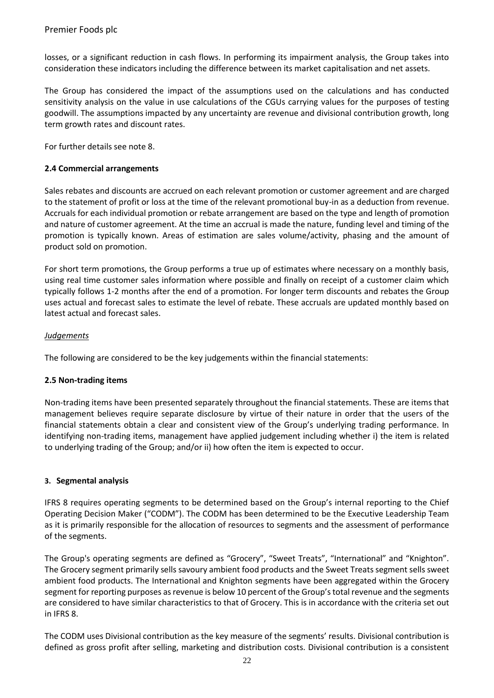losses, or a significant reduction in cash flows. In performing its impairment analysis, the Group takes into consideration these indicators including the difference between its market capitalisation and net assets.

The Group has considered the impact of the assumptions used on the calculations and has conducted sensitivity analysis on the value in use calculations of the CGUs carrying values for the purposes of testing goodwill. The assumptions impacted by any uncertainty are revenue and divisional contribution growth, long term growth rates and discount rates.

For further details see note 8.

#### **2.4 Commercial arrangements**

Sales rebates and discounts are accrued on each relevant promotion or customer agreement and are charged to the statement of profit or loss at the time of the relevant promotional buy-in as a deduction from revenue. Accruals for each individual promotion or rebate arrangement are based on the type and length of promotion and nature of customer agreement. At the time an accrual is made the nature, funding level and timing of the promotion is typically known. Areas of estimation are sales volume/activity, phasing and the amount of product sold on promotion.

For short term promotions, the Group performs a true up of estimates where necessary on a monthly basis, using real time customer sales information where possible and finally on receipt of a customer claim which typically follows 1-2 months after the end of a promotion. For longer term discounts and rebates the Group uses actual and forecast sales to estimate the level of rebate. These accruals are updated monthly based on latest actual and forecast sales.

#### *Judgements*

The following are considered to be the key judgements within the financial statements:

## **2.5 Non-trading items**

Non-trading items have been presented separately throughout the financial statements. These are items that management believes require separate disclosure by virtue of their nature in order that the users of the financial statements obtain a clear and consistent view of the Group's underlying trading performance. In identifying non-trading items, management have applied judgement including whether i) the item is related to underlying trading of the Group; and/or ii) how often the item is expected to occur.

## **3. Segmental analysis**

IFRS 8 requires operating segments to be determined based on the Group's internal reporting to the Chief Operating Decision Maker ("CODM"). The CODM has been determined to be the Executive Leadership Team as it is primarily responsible for the allocation of resources to segments and the assessment of performance of the segments.

The Group's operating segments are defined as "Grocery", "Sweet Treats", "International" and "Knighton". The Grocery segment primarily sells savoury ambient food products and the Sweet Treats segment sells sweet ambient food products. The International and Knighton segments have been aggregated within the Grocery segment for reporting purposes as revenue is below 10 percent of the Group's total revenue and the segments are considered to have similar characteristics to that of Grocery. This is in accordance with the criteria set out in IFRS 8.

The CODM uses Divisional contribution as the key measure of the segments' results. Divisional contribution is defined as gross profit after selling, marketing and distribution costs. Divisional contribution is a consistent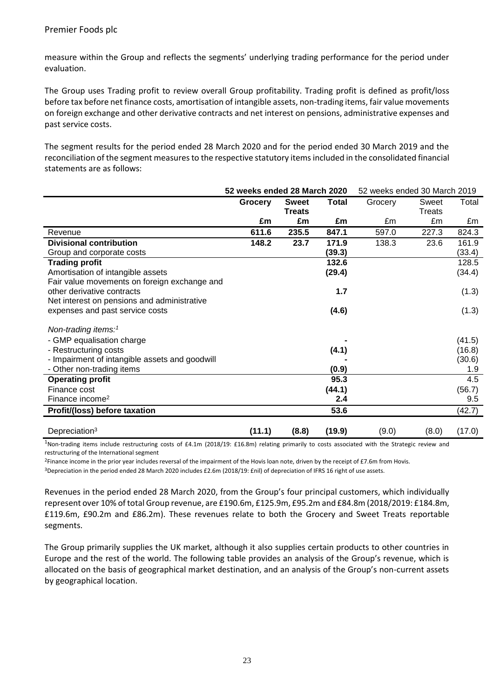measure within the Group and reflects the segments' underlying trading performance for the period under evaluation.

The Group uses Trading profit to review overall Group profitability. Trading profit is defined as profit/loss before tax before net finance costs, amortisation of intangible assets, non-trading items, fair value movements on foreign exchange and other derivative contracts and net interest on pensions, administrative expenses and past service costs.

The segment results for the period ended 28 March 2020 and for the period ended 30 March 2019 and the reconciliation of the segment measures to the respective statutory items included in the consolidated financial statements are as follows:

|                                                | 52 weeks ended 28 March 2020 |               |              | 52 weeks ended 30 March 2019 |        |        |
|------------------------------------------------|------------------------------|---------------|--------------|------------------------------|--------|--------|
|                                                | Grocery                      | <b>Sweet</b>  | <b>Total</b> | Grocery                      | Sweet  | Total  |
|                                                |                              | <b>Treats</b> |              |                              | Treats |        |
|                                                | £m                           | £m            | £m           | £m                           | £m     | £m     |
| Revenue                                        | 611.6                        | 235.5         | 847.1        | 597.0                        | 227.3  | 824.3  |
| <b>Divisional contribution</b>                 | 148.2                        | 23.7          | 171.9        | 138.3                        | 23.6   | 161.9  |
| Group and corporate costs                      |                              |               | (39.3)       |                              |        | (33.4) |
| <b>Trading profit</b>                          |                              |               | 132.6        |                              |        | 128.5  |
| Amortisation of intangible assets              |                              |               | (29.4)       |                              |        | (34.4) |
| Fair value movements on foreign exchange and   |                              |               |              |                              |        |        |
| other derivative contracts                     |                              |               | 1.7          |                              |        | (1.3)  |
| Net interest on pensions and administrative    |                              |               |              |                              |        |        |
| expenses and past service costs                |                              |               | (4.6)        |                              |        | (1.3)  |
| Non-trading items: <sup>1</sup>                |                              |               |              |                              |        |        |
| - GMP equalisation charge                      |                              |               |              |                              |        | (41.5) |
| - Restructuring costs                          |                              |               | (4.1)        |                              |        | (16.8) |
| - Impairment of intangible assets and goodwill |                              |               |              |                              |        | (30.6) |
| - Other non-trading items                      |                              |               | (0.9)        |                              |        | 1.9    |
| <b>Operating profit</b>                        |                              |               | 95.3         |                              |        | 4.5    |
| Finance cost                                   |                              |               | (44.1)       |                              |        | (56.7) |
| Finance income <sup>2</sup>                    |                              |               | 2.4          |                              |        | 9.5    |
| Profit/(loss) before taxation                  |                              |               | 53.6         |                              |        | (42.7) |
|                                                |                              |               |              |                              |        |        |
| Depreciation <sup>3</sup>                      | (11.1)                       | (8.8)         | (19.9)       | (9.0)                        | (8.0)  | (17.0) |

 $1$ Non-trading items include restructuring costs of £4.1m (2018/19: £16.8m) relating primarily to costs associated with the Strategic review and restructuring of the International segment

<sup>2</sup>Finance income in the prior year includes reversal of the impairment of the Hovis loan note, driven by the receipt of £7.6m from Hovis.

<sup>3</sup>Depreciation in the period ended 28 March 2020 includes £2.6m (2018/19: £nil) of depreciation of IFRS 16 right of use assets.

Revenues in the period ended 28 March 2020, from the Group's four principal customers, which individually represent over 10% of total Group revenue, are £190.6m, £125.9m, £95.2m and £84.8m (2018/2019: £184.8m, £119.6m, £90.2m and £86.2m). These revenues relate to both the Grocery and Sweet Treats reportable segments.

The Group primarily supplies the UK market, although it also supplies certain products to other countries in Europe and the rest of the world. The following table provides an analysis of the Group's revenue, which is allocated on the basis of geographical market destination, and an analysis of the Group's non-current assets by geographical location.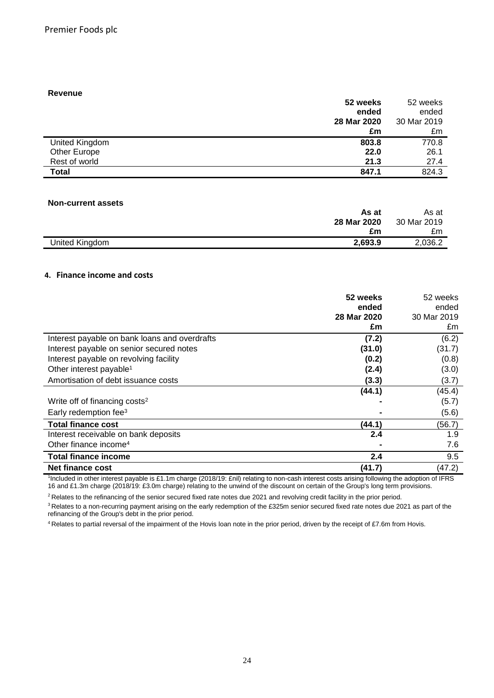#### **Revenue**

|                | 52 weeks    | 52 weeks    |
|----------------|-------------|-------------|
|                | ended       | ended       |
|                | 28 Mar 2020 | 30 Mar 2019 |
|                | £m          | £m          |
| United Kingdom | 803.8       | 770.8       |
| Other Europe   | 22.0        | 26.1        |
| Rest of world  | 21.3        | 27.4        |
| Total          | 847.1       | 824.3       |

#### **Non-current assets**

|                           | As at | As at       |
|---------------------------|-------|-------------|
| 28 Mar 2020               |       | 30 Mar 2019 |
|                           | £m    | £m          |
| 2,693.9<br>United Kingdom |       | 2,036.2     |

#### **4. Finance income and costs**

|                                               | 52 weeks<br>ended<br>28 Mar 2020<br>£m | 52 weeks<br>ended<br>30 Mar 2019<br>£m |
|-----------------------------------------------|----------------------------------------|----------------------------------------|
| Interest payable on bank loans and overdrafts | (7.2)                                  | (6.2)                                  |
| Interest payable on senior secured notes      | (31.0)                                 | (31.7)                                 |
| Interest payable on revolving facility        | (0.2)                                  | (0.8)                                  |
| Other interest payable <sup>1</sup>           | (2.4)                                  | (3.0)                                  |
| Amortisation of debt issuance costs           | (3.3)                                  | (3.7)                                  |
|                                               | (44.1)                                 | (45.4)                                 |
| Write off of financing costs <sup>2</sup>     |                                        | (5.7)                                  |
| Early redemption fee <sup>3</sup>             |                                        | (5.6)                                  |
| <b>Total finance cost</b>                     | (44.1)                                 | (56.7)                                 |
| Interest receivable on bank deposits          | 2.4                                    | 1.9                                    |
| Other finance income <sup>4</sup>             |                                        | 7.6                                    |
| <b>Total finance income</b>                   | 2.4                                    | 9.5                                    |
| Net finance cost                              | (41.7)                                 | (47.2)                                 |

1 Included in other interest payable is £1.1m charge (2018/19: £nil) relating to non-cash interest costs arising following the adoption of IFRS 16 and £1.3m charge (2018/19: £3.0m charge) relating to the unwind of the discount on certain of the Group's long term provisions.

<sup>2</sup> Relates to the refinancing of the senior secured fixed rate notes due 2021 and revolving credit facility in the prior period.

<sup>3</sup> Relates to a non-recurring payment arising on the early redemption of the £325m senior secured fixed rate notes due 2021 as part of the refinancing of the Group's debt in the prior period.

4 Relates to partial reversal of the impairment of the Hovis loan note in the prior period, driven by the receipt of £7.6m from Hovis.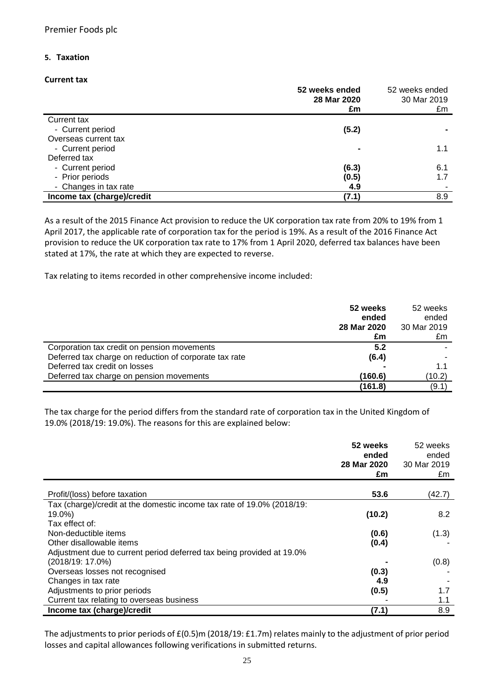#### **5. Taxation**

#### **Current tax**

|                            | 52 weeks ended<br>28 Mar 2020<br>£m | 52 weeks ended<br>30 Mar 2019<br>£m |
|----------------------------|-------------------------------------|-------------------------------------|
| Current tax                |                                     |                                     |
| - Current period           | (5.2)                               |                                     |
| Overseas current tax       |                                     |                                     |
| - Current period           |                                     | 1.1                                 |
| Deferred tax               |                                     |                                     |
| - Current period           | (6.3)                               | 6.1                                 |
| - Prior periods            | (0.5)                               | 1.7                                 |
| - Changes in tax rate      | 4.9                                 |                                     |
| Income tax (charge)/credit | (7.1)                               | 8.9                                 |

As a result of the 2015 Finance Act provision to reduce the UK corporation tax rate from 20% to 19% from 1 April 2017, the applicable rate of corporation tax for the period is 19%. As a result of the 2016 Finance Act provision to reduce the UK corporation tax rate to 17% from 1 April 2020, deferred tax balances have been stated at 17%, the rate at which they are expected to reverse.

Tax relating to items recorded in other comprehensive income included:

|                                                        | 52 weeks<br>ended<br>28 Mar 2020<br>£m | 52 weeks<br>ended<br>30 Mar 2019<br>£m |
|--------------------------------------------------------|----------------------------------------|----------------------------------------|
| Corporation tax credit on pension movements            | 5.2                                    |                                        |
| Deferred tax charge on reduction of corporate tax rate | (6.4)                                  |                                        |
| Deferred tax credit on losses                          |                                        | 1.1                                    |
| Deferred tax charge on pension movements               | (160.6)                                | (10.2)                                 |
|                                                        | (161.8)                                | (9.1)                                  |

The tax charge for the period differs from the standard rate of corporation tax in the United Kingdom of 19.0% (2018/19: 19.0%). The reasons for this are explained below:

|                                                                        | 52 weeks<br>ended<br>28 Mar 2020<br>£m | 52 weeks<br>ended<br>30 Mar 2019<br>£m |
|------------------------------------------------------------------------|----------------------------------------|----------------------------------------|
| Profit/(loss) before taxation                                          | 53.6                                   | (42.7)                                 |
| Tax (charge)/credit at the domestic income tax rate of 19.0% (2018/19: |                                        |                                        |
| 19.0%)                                                                 | (10.2)                                 | 8.2                                    |
| Tax effect of:                                                         |                                        |                                        |
| Non-deductible items                                                   | (0.6)                                  | (1.3)                                  |
| Other disallowable items                                               | (0.4)                                  |                                        |
| Adjustment due to current period deferred tax being provided at 19.0%  |                                        |                                        |
| $(2018/19: 17.0\%)$                                                    |                                        | (0.8)                                  |
| Overseas losses not recognised                                         | (0.3)                                  |                                        |
| Changes in tax rate                                                    | 4.9                                    |                                        |
| Adjustments to prior periods                                           | (0.5)                                  | 1.7                                    |
| Current tax relating to overseas business                              |                                        | 1.1                                    |
| Income tax (charge)/credit                                             | (7.1)                                  | 8.9                                    |

The adjustments to prior periods of £(0.5)m (2018/19: £1.7m) relates mainly to the adjustment of prior period losses and capital allowances following verifications in submitted returns.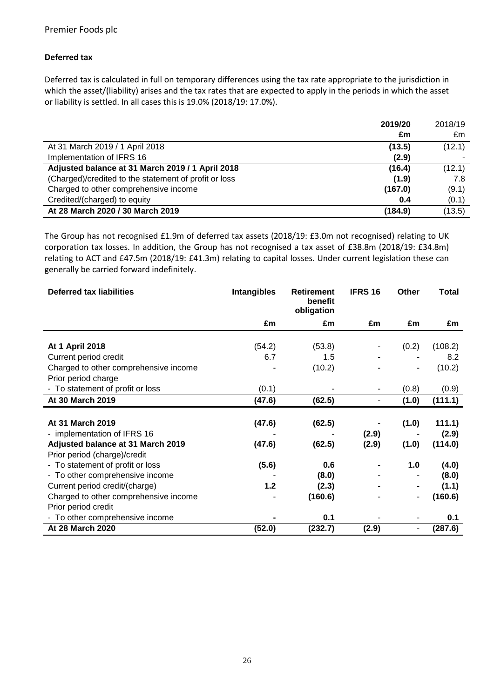## **Deferred tax**

Deferred tax is calculated in full on temporary differences using the tax rate appropriate to the jurisdiction in which the asset/(liability) arises and the tax rates that are expected to apply in the periods in which the asset or liability is settled. In all cases this is 19.0% (2018/19: 17.0%).

|                                                       | 2019/20 | 2018/19 |
|-------------------------------------------------------|---------|---------|
|                                                       | £m      | £m      |
| At 31 March 2019 / 1 April 2018                       | (13.5)  | (12.1)  |
| Implementation of IFRS 16                             | (2.9)   |         |
| Adjusted balance at 31 March 2019 / 1 April 2018      | (16.4)  | (12.1)  |
| (Charged)/credited to the statement of profit or loss | (1.9)   | 7.8     |
| Charged to other comprehensive income                 | (167.0) | (9.1)   |
| Credited/(charged) to equity                          | 0.4     | (0.1)   |
| At 28 March 2020 / 30 March 2019                      | (184.9) | (13.5)  |

The Group has not recognised £1.9m of deferred tax assets (2018/19: £3.0m not recognised) relating to UK corporation tax losses. In addition, the Group has not recognised a tax asset of £38.8m (2018/19: £34.8m) relating to ACT and £47.5m (2018/19: £41.3m) relating to capital losses. Under current legislation these can generally be carried forward indefinitely.

| <b>Deferred tax liabilities</b>       | <b>Intangibles</b> | <b>Retirement</b><br>benefit<br>obligation | <b>IFRS 16</b> | <b>Other</b>             | Total   |
|---------------------------------------|--------------------|--------------------------------------------|----------------|--------------------------|---------|
|                                       | £m                 | £m                                         | £m             | £m                       | £m      |
|                                       |                    |                                            |                |                          |         |
| At 1 April 2018                       | (54.2)             | (53.8)                                     |                | (0.2)                    | (108.2) |
| Current period credit                 | 6.7                | 1.5                                        |                |                          | 8.2     |
| Charged to other comprehensive income |                    | (10.2)                                     |                | $\overline{\phantom{a}}$ | (10.2)  |
| Prior period charge                   |                    |                                            |                |                          |         |
| - To statement of profit or loss      | (0.1)              |                                            |                | (0.8)                    | (0.9)   |
| At 30 March 2019                      | (47.6)             | (62.5)                                     |                | (1.0)                    | (111.1) |
|                                       |                    |                                            |                |                          |         |
| At 31 March 2019                      | (47.6)             | (62.5)                                     |                | (1.0)                    | 111.1)  |
| - implementation of IFRS 16           |                    |                                            | (2.9)          |                          | (2.9)   |
| Adjusted balance at 31 March 2019     | (47.6)             | (62.5)                                     | (2.9)          | (1.0)                    | (114.0) |
| Prior period (charge)/credit          |                    |                                            |                |                          |         |
| - To statement of profit or loss      | (5.6)              | 0.6                                        |                | 1.0                      | (4.0)   |
| - To other comprehensive income       |                    | (8.0)                                      |                |                          | (8.0)   |
| Current period credit/(charge)        | 1.2                | (2.3)                                      |                |                          | (1.1)   |
| Charged to other comprehensive income |                    | (160.6)                                    |                | ۰                        | (160.6) |
| Prior period credit                   |                    |                                            |                |                          |         |
| - To other comprehensive income       |                    | 0.1                                        |                |                          | 0.1     |
| At 28 March 2020                      | (52.0)             | (232.7)                                    | (2.9)          | $\overline{\phantom{a}}$ | (287.6) |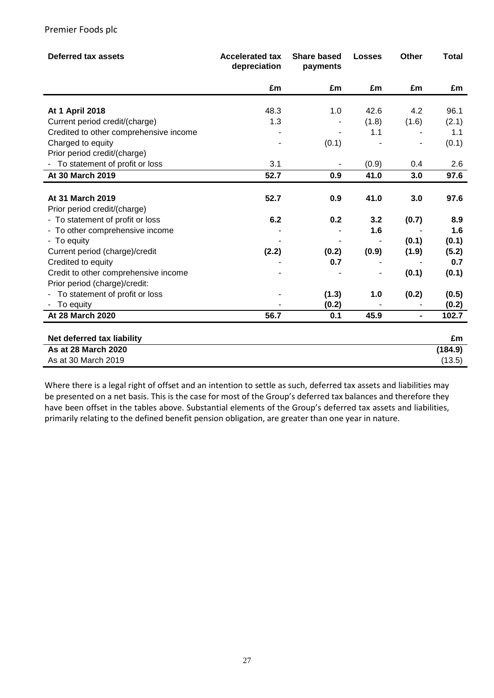| Deferred tax assets                    | <b>Accelerated tax</b><br>depreciation | <b>Share based</b><br>payments | <b>Losses</b> | <b>Other</b>             | <b>Total</b> |
|----------------------------------------|----------------------------------------|--------------------------------|---------------|--------------------------|--------------|
|                                        | £m                                     | £m                             | £m            | £m                       | £m           |
| At 1 April 2018                        | 48.3                                   | 1.0                            | 42.6          | 4.2                      | 96.1         |
| Current period credit/(charge)         | 1.3                                    |                                | (1.8)         | (1.6)                    | (2.1)        |
| Credited to other comprehensive income |                                        |                                | 1.1           |                          | 1.1          |
| Charged to equity                      |                                        | (0.1)                          |               |                          | (0.1)        |
| Prior period credit/(charge)           |                                        |                                |               |                          |              |
| - To statement of profit or loss       | 3.1                                    |                                | (0.9)         | 0.4                      | 2.6          |
| At 30 March 2019                       | 52.7                                   | 0.9                            | 41.0          | 3.0                      | 97.6         |
|                                        |                                        |                                |               |                          |              |
| At 31 March 2019                       | 52.7                                   | 0.9                            | 41.0          | 3.0                      | 97.6         |
| Prior period credit/(charge)           |                                        |                                |               |                          |              |
| - To statement of profit or loss       | 6.2                                    | 0.2                            | 3.2           | (0.7)                    | 8.9          |
| - To other comprehensive income        |                                        |                                | 1.6           |                          | 1.6          |
| - To equity                            |                                        |                                |               | (0.1)                    | (0.1)        |
| Current period (charge)/credit         | (2.2)                                  | (0.2)                          | (0.9)         | (1.9)                    | (5.2)        |
| Credited to equity                     |                                        | 0.7                            |               |                          | 0.7          |
| Credit to other comprehensive income   |                                        |                                |               | (0.1)                    | (0.1)        |
| Prior period (charge)/credit:          |                                        |                                |               |                          |              |
| To statement of profit or loss         |                                        | (1.3)                          | 1.0           | (0.2)                    | (0.5)        |
| To equity                              |                                        | (0.2)                          |               |                          | (0.2)        |
| At 28 March 2020                       | 56.7                                   | 0.1                            | 45.9          | $\overline{\phantom{a}}$ | 102.7        |
| Net deferred tax liability             |                                        |                                |               |                          | £m           |
|                                        |                                        |                                |               |                          |              |
| As at 28 March 2020                    |                                        |                                |               |                          | (184.9)      |
| As at 30 March 2019                    |                                        |                                |               |                          | (13.5)       |

Where there is a legal right of offset and an intention to settle as such, deferred tax assets and liabilities may be presented on a net basis. This is the case for most of the Group's deferred tax balances and therefore they have been offset in the tables above. Substantial elements of the Group's deferred tax assets and liabilities, primarily relating to the defined benefit pension obligation, are greater than one year in nature.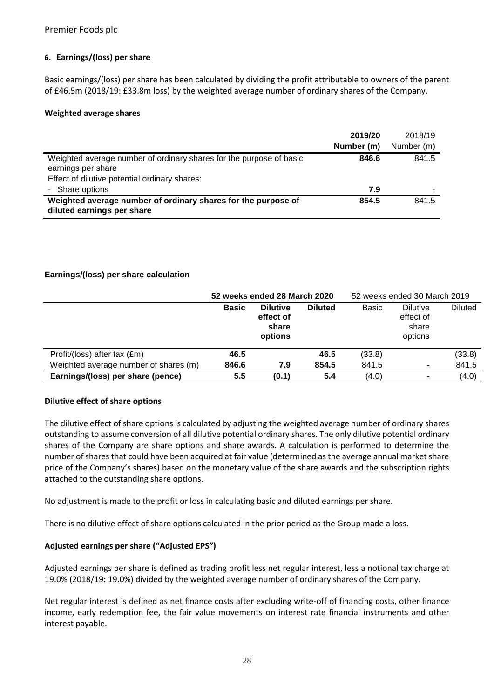## **6. Earnings/(loss) per share**

Basic earnings/(loss) per share has been calculated by dividing the profit attributable to owners of the parent of £46.5m (2018/19: £33.8m loss) by the weighted average number of ordinary shares of the Company.

#### **Weighted average shares**

|                                                                                             | 2019/20    | 2018/19    |
|---------------------------------------------------------------------------------------------|------------|------------|
|                                                                                             | Number (m) | Number (m) |
| Weighted average number of ordinary shares for the purpose of basic<br>earnings per share   | 846.6      | 841.5      |
| Effect of dilutive potential ordinary shares:<br>- Share options                            | 7.9        |            |
| Weighted average number of ordinary shares for the purpose of<br>diluted earnings per share | 854.5      | 841.5      |

## **Earnings/(loss) per share calculation**

|                                       | 52 weeks ended 28 March 2020 |                                                  |                |              | 52 weeks ended 30 March 2019                     |                |  |
|---------------------------------------|------------------------------|--------------------------------------------------|----------------|--------------|--------------------------------------------------|----------------|--|
|                                       | <b>Basic</b>                 | <b>Dilutive</b><br>effect of<br>share<br>options | <b>Diluted</b> | <b>Basic</b> | <b>Dilutive</b><br>effect of<br>share<br>options | <b>Diluted</b> |  |
| Profit/(loss) after tax (£m)          | 46.5                         |                                                  | 46.5           | (33.8)       |                                                  | (33.8)         |  |
| Weighted average number of shares (m) | 846.6                        | 7.9                                              | 854.5          | 841.5        | ٠                                                | 841.5          |  |
| Earnings/(loss) per share (pence)     | 5.5                          | (0.1)                                            | 5.4            | (4.0)        | ۰                                                | (4.0)          |  |

## **Dilutive effect of share options**

The dilutive effect of share options is calculated by adjusting the weighted average number of ordinary shares outstanding to assume conversion of all dilutive potential ordinary shares. The only dilutive potential ordinary shares of the Company are share options and share awards. A calculation is performed to determine the number of shares that could have been acquired at fair value (determined as the average annual market share price of the Company's shares) based on the monetary value of the share awards and the subscription rights attached to the outstanding share options.

No adjustment is made to the profit or loss in calculating basic and diluted earnings per share.

There is no dilutive effect of share options calculated in the prior period as the Group made a loss.

## **Adjusted earnings per share ("Adjusted EPS")**

Adjusted earnings per share is defined as trading profit less net regular interest, less a notional tax charge at 19.0% (2018/19: 19.0%) divided by the weighted average number of ordinary shares of the Company.

Net regular interest is defined as net finance costs after excluding write-off of financing costs, other finance income, early redemption fee, the fair value movements on interest rate financial instruments and other interest payable.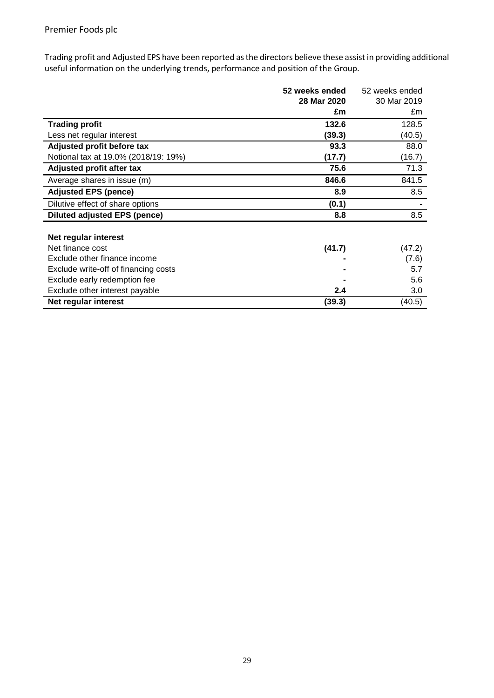Trading profit and Adjusted EPS have been reported as the directors believe these assist in providing additional useful information on the underlying trends, performance and position of the Group.

|                                      | 52 weeks ended | 52 weeks ended |
|--------------------------------------|----------------|----------------|
|                                      | 28 Mar 2020    | 30 Mar 2019    |
|                                      | £m             | £m             |
| <b>Trading profit</b>                | 132.6          | 128.5          |
| Less net regular interest            | (39.3)         | (40.5)         |
| Adjusted profit before tax           | 93.3           | 88.0           |
| Notional tax at 19.0% (2018/19: 19%) | (17.7)         | (16.7)         |
| Adjusted profit after tax            | 75.6           | 71.3           |
| Average shares in issue (m)          | 846.6          | 841.5          |
| <b>Adjusted EPS (pence)</b>          | 8.9            | 8.5            |
| Dilutive effect of share options     | (0.1)          |                |
| <b>Diluted adjusted EPS (pence)</b>  | 8.8            | 8.5            |
|                                      |                |                |
| Net regular interest                 |                |                |
| Net finance cost                     | (41.7)         | (47.2)         |
| Exclude other finance income         |                | (7.6)          |
| Exclude write-off of financing costs |                | 5.7            |
| Exclude early redemption fee         |                | 5.6            |
| Exclude other interest payable       | 2.4            | 3.0            |
| Net regular interest                 | (39.3)         | (40.5)         |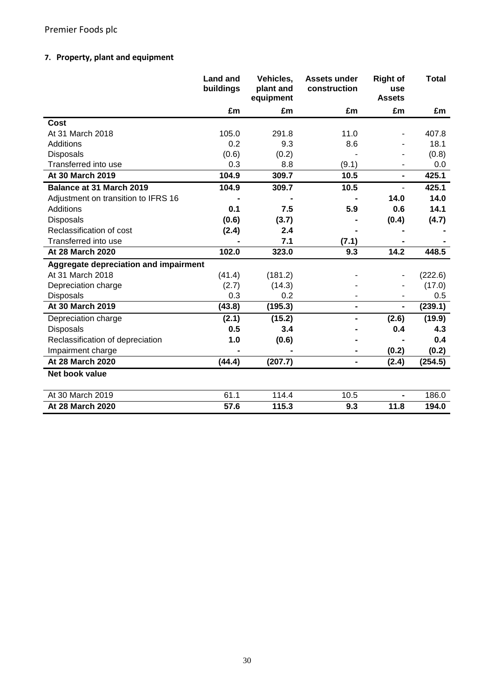# **7. Property, plant and equipment**

|                                       | <b>Land and</b><br>buildings | Vehicles,<br>plant and<br>equipment | <b>Assets under</b><br>construction | <b>Right of</b><br>use<br><b>Assets</b> | <b>Total</b> |
|---------------------------------------|------------------------------|-------------------------------------|-------------------------------------|-----------------------------------------|--------------|
|                                       | £m                           | £m                                  | £m                                  | £m                                      | £m           |
| Cost                                  |                              |                                     |                                     |                                         |              |
| At 31 March 2018                      | 105.0                        | 291.8                               | 11.0                                |                                         | 407.8        |
| <b>Additions</b>                      | 0.2                          | 9.3                                 | 8.6                                 |                                         | 18.1         |
| <b>Disposals</b>                      | (0.6)                        | (0.2)                               |                                     |                                         | (0.8)        |
| Transferred into use                  | 0.3                          | 8.8                                 | (9.1)                               |                                         | 0.0          |
| <b>At 30 March 2019</b>               | 104.9                        | 309.7                               | 10.5                                | $\blacksquare$                          | 425.1        |
| Balance at 31 March 2019              | 104.9                        | 309.7                               | 10.5                                |                                         | 425.1        |
| Adjustment on transition to IFRS 16   |                              |                                     |                                     | 14.0                                    | 14.0         |
| <b>Additions</b>                      | 0.1                          | 7.5                                 | 5.9                                 | 0.6                                     | 14.1         |
| Disposals                             | (0.6)                        | (3.7)                               |                                     | (0.4)                                   | (4.7)        |
| Reclassification of cost              | (2.4)                        | 2.4                                 |                                     |                                         |              |
| Transferred into use                  |                              | 7.1                                 | (7.1)                               |                                         |              |
| <b>At 28 March 2020</b>               | 102.0                        | 323.0                               | 9.3                                 | 14.2                                    | 448.5        |
| Aggregate depreciation and impairment |                              |                                     |                                     |                                         |              |
| At 31 March 2018                      | (41.4)                       | (181.2)                             |                                     |                                         | (222.6)      |
| Depreciation charge                   | (2.7)                        | (14.3)                              |                                     |                                         | (17.0)       |
| Disposals                             | 0.3                          | 0.2                                 |                                     |                                         | 0.5          |
| <b>At 30 March 2019</b>               | (43.8)                       | (195.3)                             |                                     |                                         | (239.1)      |
| Depreciation charge                   | (2.1)                        | (15.2)                              | -                                   | (2.6)                                   | (19.9)       |
| <b>Disposals</b>                      | 0.5                          | 3.4                                 |                                     | 0.4                                     | 4.3          |
| Reclassification of depreciation      | 1.0                          | (0.6)                               |                                     |                                         | 0.4          |
| Impairment charge                     |                              |                                     |                                     | (0.2)                                   | (0.2)        |
| At 28 March 2020                      | (44.4)                       | (207.7)                             | $\blacksquare$                      | (2.4)                                   | (254.5)      |
| Net book value                        |                              |                                     |                                     |                                         |              |
| At 30 March 2019                      | 61.1                         | 114.4                               | 10.5                                | $\blacksquare$                          | 186.0        |
| <b>At 28 March 2020</b>               | 57.6                         | 115.3                               | 9.3                                 | 11.8                                    | 194.0        |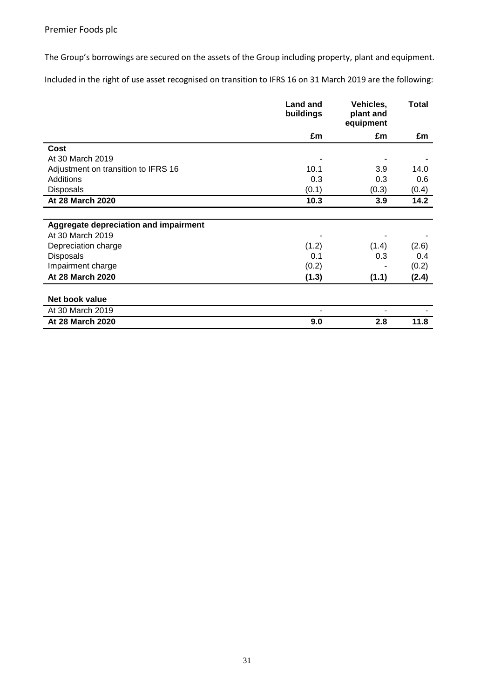The Group's borrowings are secured on the assets of the Group including property, plant and equipment.

Included in the right of use asset recognised on transition to IFRS 16 on 31 March 2019 are the following:

|                                       | <b>Land and</b><br>buildings | Vehicles,<br>plant and<br>equipment | <b>Total</b> |
|---------------------------------------|------------------------------|-------------------------------------|--------------|
|                                       | £m                           | £m                                  | £m           |
| Cost                                  |                              |                                     |              |
| At 30 March 2019                      |                              |                                     |              |
| Adjustment on transition to IFRS 16   | 10.1                         | 3.9                                 | 14.0         |
| Additions                             | 0.3                          | 0.3                                 | 0.6          |
| <b>Disposals</b>                      | (0.1)                        | (0.3)                               | (0.4)        |
| At 28 March 2020                      | 10.3                         | 3.9                                 | 14.2         |
|                                       |                              |                                     |              |
| Aggregate depreciation and impairment |                              |                                     |              |
| At 30 March 2019                      |                              |                                     |              |
| Depreciation charge                   | (1.2)                        | (1.4)                               | (2.6)        |
| <b>Disposals</b>                      | 0.1                          | 0.3                                 | 0.4          |
| Impairment charge                     | (0.2)                        |                                     | (0.2)        |
| At 28 March 2020                      | (1.3)                        | (1.1)                               | (2.4)        |
|                                       |                              |                                     |              |
| Net book value                        |                              |                                     |              |
| At 30 March 2019                      | ۰                            |                                     |              |
| At 28 March 2020                      | 9.0                          | 2.8                                 | 11.8         |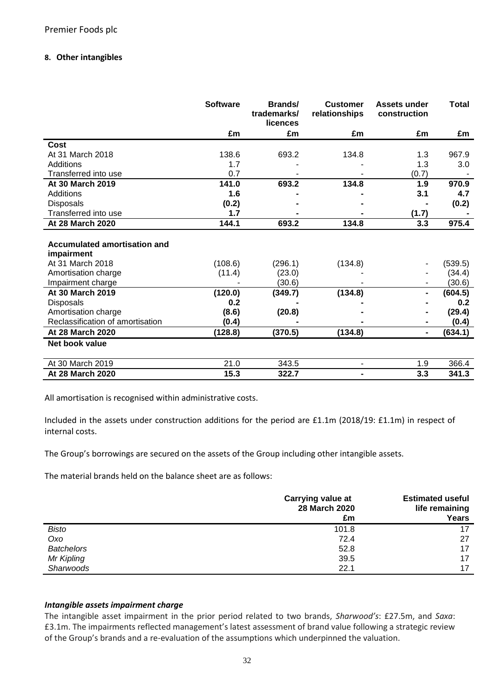#### **8. Other intangibles**

|                                                   | <b>Software</b> | Brands/<br>trademarks/<br>licences | <b>Customer</b><br>relationships | <b>Assets under</b><br>construction | <b>Total</b> |
|---------------------------------------------------|-----------------|------------------------------------|----------------------------------|-------------------------------------|--------------|
|                                                   | £m              | £m                                 | £m                               | £m                                  | £m           |
| Cost                                              |                 |                                    |                                  |                                     |              |
| At 31 March 2018                                  | 138.6           | 693.2                              | 134.8                            | 1.3                                 | 967.9        |
| Additions                                         | 1.7             |                                    |                                  | 1.3                                 | 3.0          |
| Transferred into use                              | 0.7             |                                    |                                  | (0.7)                               |              |
| At 30 March 2019                                  | 141.0           | 693.2                              | 134.8                            | 1.9                                 | 970.9        |
| Additions                                         | 1.6             |                                    |                                  | 3.1                                 | 4.7          |
| <b>Disposals</b>                                  | (0.2)           |                                    |                                  |                                     | (0.2)        |
| Transferred into use                              | 1.7             |                                    |                                  | (1.7)                               |              |
| At 28 March 2020                                  | 144.1           | 693.2                              | 134.8                            | 3.3                                 | 975.4        |
| <b>Accumulated amortisation and</b><br>impairment |                 |                                    |                                  |                                     |              |
| At 31 March 2018                                  | (108.6)         | (296.1)                            | (134.8)                          | $\blacksquare$                      | (539.5)      |
| Amortisation charge                               | (11.4)          | (23.0)                             |                                  |                                     | (34.4)       |
| Impairment charge                                 |                 | (30.6)                             |                                  |                                     | (30.6)       |
| At 30 March 2019                                  | (120.0)         | (349.7)                            | (134.8)                          | $\blacksquare$                      | (604.5)      |
| <b>Disposals</b>                                  | 0.2             |                                    |                                  |                                     | 0.2          |
| Amortisation charge                               | (8.6)           | (20.8)                             |                                  | $\blacksquare$                      | (29.4)       |
| Reclassification of amortisation                  | (0.4)           |                                    |                                  | $\blacksquare$                      | (0.4)        |
| <b>At 28 March 2020</b>                           | (128.8)         | (370.5)                            | (134.8)                          | $\blacksquare$                      | (634.1)      |
| Net book value                                    |                 |                                    |                                  |                                     |              |
| At 30 March 2019                                  | 21.0            | 343.5                              | ٠                                | 1.9                                 | 366.4        |
| At 28 March 2020                                  | 15.3            | 322.7                              | $\blacksquare$                   | 3.3                                 | 341.3        |

All amortisation is recognised within administrative costs.

Included in the assets under construction additions for the period are £1.1m (2018/19: £1.1m) in respect of internal costs.

The Group's borrowings are secured on the assets of the Group including other intangible assets.

The material brands held on the balance sheet are as follows:

|                   | Carrying value at<br>28 March 2020<br>£m | <b>Estimated useful</b><br>life remaining<br>Years |
|-------------------|------------------------------------------|----------------------------------------------------|
| <b>Bisto</b>      | 101.8                                    | 17                                                 |
| Oxo               | 72.4                                     | 27                                                 |
| <b>Batchelors</b> | 52.8                                     | 17                                                 |
| Mr Kipling        | 39.5                                     | 17                                                 |
| Sharwoods         | 22.1                                     | 17                                                 |

#### *Intangible assets impairment charge*

The intangible asset impairment in the prior period related to two brands, *Sharwood's*: £27.5m, and *Saxa*: £3.1m. The impairments reflected management's latest assessment of brand value following a strategic review of the Group's brands and a re-evaluation of the assumptions which underpinned the valuation.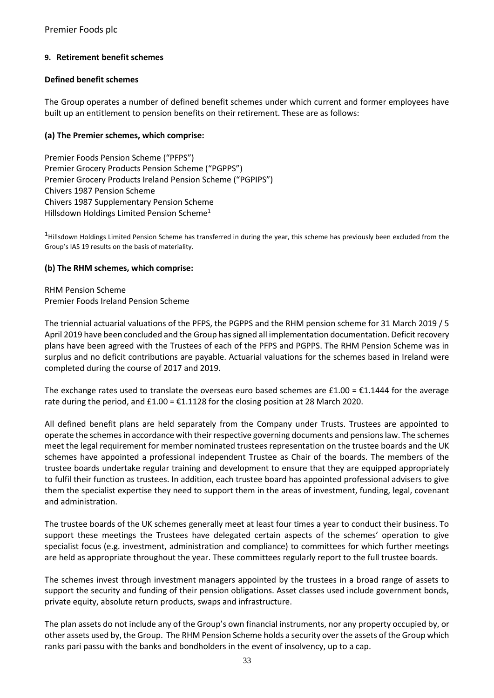# **9. Retirement benefit schemes**

## **Defined benefit schemes**

The Group operates a number of defined benefit schemes under which current and former employees have built up an entitlement to pension benefits on their retirement. These are as follows:

## **(a) The Premier schemes, which comprise:**

Premier Foods Pension Scheme ("PFPS") Premier Grocery Products Pension Scheme ("PGPPS") Premier Grocery Products Ireland Pension Scheme ("PGPIPS") Chivers 1987 Pension Scheme Chivers 1987 Supplementary Pension Scheme Hillsdown Holdings Limited Pension Scheme<sup>1</sup>

<sup>1</sup>Hillsdown Holdings Limited Pension Scheme has transferred in during the year, this scheme has previously been excluded from the Group's IAS 19 results on the basis of materiality.

## **(b) The RHM schemes, which comprise:**

RHM Pension Scheme Premier Foods Ireland Pension Scheme

The triennial actuarial valuations of the PFPS, the PGPPS and the RHM pension scheme for 31 March 2019 / 5 April 2019 have been concluded and the Group has signed all implementation documentation. Deficit recovery plans have been agreed with the Trustees of each of the PFPS and PGPPS. The RHM Pension Scheme was in surplus and no deficit contributions are payable. Actuarial valuations for the schemes based in Ireland were completed during the course of 2017 and 2019.

The exchange rates used to translate the overseas euro based schemes are  $£1.00 = £1.1444$  for the average rate during the period, and  $£1.00 = £1.1128$  for the closing position at 28 March 2020.

All defined benefit plans are held separately from the Company under Trusts. Trustees are appointed to operate the schemes in accordance with their respective governing documents and pensions law. The schemes meet the legal requirement for member nominated trustees representation on the trustee boards and the UK schemes have appointed a professional independent Trustee as Chair of the boards. The members of the trustee boards undertake regular training and development to ensure that they are equipped appropriately to fulfil their function as trustees. In addition, each trustee board has appointed professional advisers to give them the specialist expertise they need to support them in the areas of investment, funding, legal, covenant and administration.

The trustee boards of the UK schemes generally meet at least four times a year to conduct their business. To support these meetings the Trustees have delegated certain aspects of the schemes' operation to give specialist focus (e.g. investment, administration and compliance) to committees for which further meetings are held as appropriate throughout the year. These committees regularly report to the full trustee boards.

The schemes invest through investment managers appointed by the trustees in a broad range of assets to support the security and funding of their pension obligations. Asset classes used include government bonds, private equity, absolute return products, swaps and infrastructure.

The plan assets do not include any of the Group's own financial instruments, nor any property occupied by, or other assets used by, the Group. The RHM Pension Scheme holds a security over the assets of the Group which ranks pari passu with the banks and bondholders in the event of insolvency, up to a cap.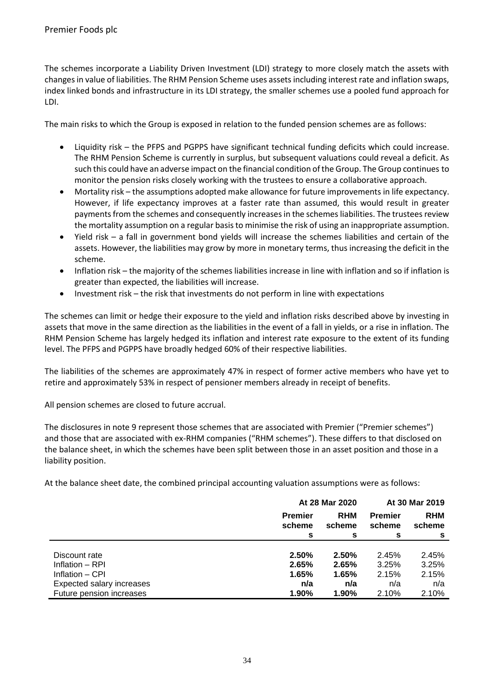The schemes incorporate a Liability Driven Investment (LDI) strategy to more closely match the assets with changes in value of liabilities. The RHM Pension Scheme uses assets including interest rate and inflation swaps, index linked bonds and infrastructure in its LDI strategy, the smaller schemes use a pooled fund approach for LDI.

The main risks to which the Group is exposed in relation to the funded pension schemes are as follows:

- Liquidity risk the PFPS and PGPPS have significant technical funding deficits which could increase. The RHM Pension Scheme is currently in surplus, but subsequent valuations could reveal a deficit. As such this could have an adverse impact on the financial condition of the Group. The Group continues to monitor the pension risks closely working with the trustees to ensure a collaborative approach.
- Mortality risk the assumptions adopted make allowance for future improvements in life expectancy. However, if life expectancy improves at a faster rate than assumed, this would result in greater payments from the schemes and consequently increases in the schemes liabilities. The trustees review the mortality assumption on a regular basis to minimise the risk of using an inappropriate assumption.
- Yield risk a fall in government bond yields will increase the schemes liabilities and certain of the assets. However, the liabilities may grow by more in monetary terms, thus increasing the deficit in the scheme.
- Inflation risk the majority of the schemes liabilities increase in line with inflation and so if inflation is greater than expected, the liabilities will increase.
- Investment risk the risk that investments do not perform in line with expectations

The schemes can limit or hedge their exposure to the yield and inflation risks described above by investing in assets that move in the same direction as the liabilities in the event of a fall in yields, or a rise in inflation. The RHM Pension Scheme has largely hedged its inflation and interest rate exposure to the extent of its funding level. The PFPS and PGPPS have broadly hedged 60% of their respective liabilities.

The liabilities of the schemes are approximately 47% in respect of former active members who have yet to retire and approximately 53% in respect of pensioner members already in receipt of benefits.

All pension schemes are closed to future accrual.

The disclosures in note 9 represent those schemes that are associated with Premier ("Premier schemes") and those that are associated with ex-RHM companies ("RHM schemes"). These differs to that disclosed on the balance sheet, in which the schemes have been split between those in an asset position and those in a liability position.

At the balance sheet date, the combined principal accounting valuation assumptions were as follows:

|                           |                   | At 28 Mar 2020       |       | At 30 Mar 2019       |
|---------------------------|-------------------|----------------------|-------|----------------------|
|                           | Premier<br>scheme | <b>RHM</b><br>scheme |       | <b>RHM</b><br>scheme |
|                           | s                 | s                    | s     | <b>S</b>             |
| Discount rate             | 2.50%             | 2.50%                | 2.45% | 2.45%                |
| Inflation - RPI           | 2.65%             | 2.65%                | 3.25% | 3.25%                |
| Inflation - CPI           | 1.65%             | 1.65%                | 2.15% | 2.15%                |
| Expected salary increases | n/a               | n/a                  | n/a   | n/a                  |
| Future pension increases  | 1.90%             | 1.90%                | 2.10% | 2.10%                |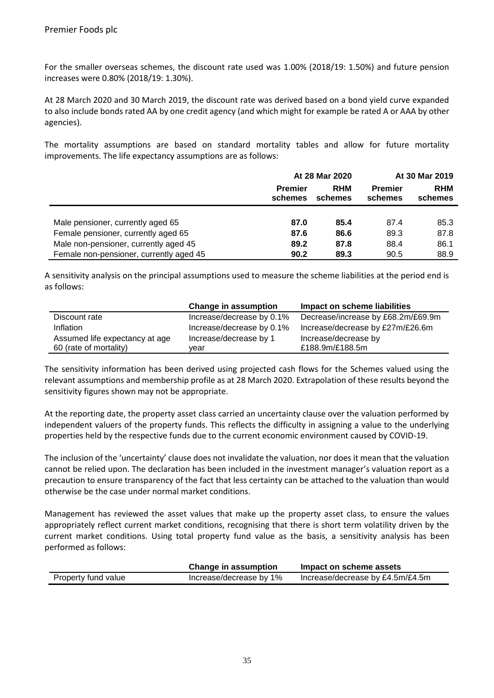For the smaller overseas schemes, the discount rate used was 1.00% (2018/19: 1.50%) and future pension increases were 0.80% (2018/19: 1.30%).

At 28 March 2020 and 30 March 2019, the discount rate was derived based on a bond yield curve expanded to also include bonds rated AA by one credit agency (and which might for example be rated A or AAA by other agencies).

The mortality assumptions are based on standard mortality tables and allow for future mortality improvements. The life expectancy assumptions are as follows:

|                                         | At 28 Mar 2020            |                       | At 30 Mar 2019            |                       |
|-----------------------------------------|---------------------------|-----------------------|---------------------------|-----------------------|
|                                         | <b>Premier</b><br>schemes | <b>RHM</b><br>schemes | <b>Premier</b><br>schemes | <b>RHM</b><br>schemes |
| Male pensioner, currently aged 65       | 87.0                      | 85.4                  | 87.4                      | 85.3                  |
| Female pensioner, currently aged 65     | 87.6                      | 86.6                  | 89.3                      | 87.8                  |
| Male non-pensioner, currently aged 45   | 89.2                      | 87.8                  | 88.4                      | 86.1                  |
| Female non-pensioner, currently aged 45 | 90.2                      | 89.3                  | 90.5                      | 88.9                  |

A sensitivity analysis on the principal assumptions used to measure the scheme liabilities at the period end is as follows:

|                                | <b>Change in assumption</b> | Impact on scheme liabilities       |
|--------------------------------|-----------------------------|------------------------------------|
| Discount rate                  | Increase/decrease by 0.1%   | Decrease/increase by £68.2m/£69.9m |
| Inflation                      | Increase/decrease by 0.1%   | Increase/decrease by £27m/£26.6m   |
| Assumed life expectancy at age | Increase/decrease by 1      | Increase/decrease by               |
| 60 (rate of mortality)         | vear                        | £188.9m/£188.5m                    |

The sensitivity information has been derived using projected cash flows for the Schemes valued using the relevant assumptions and membership profile as at 28 March 2020. Extrapolation of these results beyond the sensitivity figures shown may not be appropriate.

At the reporting date, the property asset class carried an uncertainty clause over the valuation performed by independent valuers of the property funds. This reflects the difficulty in assigning a value to the underlying properties held by the respective funds due to the current economic environment caused by COVID-19.

The inclusion of the 'uncertainty' clause does not invalidate the valuation, nor does it mean that the valuation cannot be relied upon. The declaration has been included in the investment manager's valuation report as a precaution to ensure transparency of the fact that less certainty can be attached to the valuation than would otherwise be the case under normal market conditions.

Management has reviewed the asset values that make up the property asset class, to ensure the values appropriately reflect current market conditions, recognising that there is short term volatility driven by the current market conditions. Using total property fund value as the basis, a sensitivity analysis has been performed as follows:

|                     | <b>Change in assumption</b> | Impact on scheme assets          |
|---------------------|-----------------------------|----------------------------------|
| Property fund value | Increase/decrease by 1%     | Increase/decrease by £4.5m/£4.5m |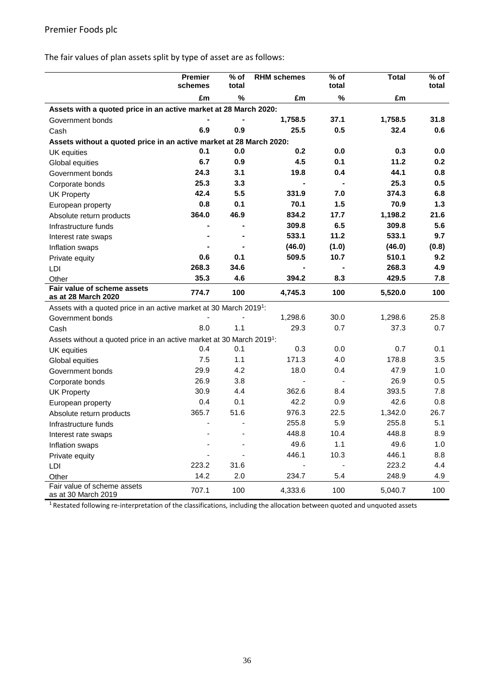# Premier Foods plc

The fair values of plan assets split by type of asset are as follows:

|                                                                                   | Premier<br>schemes | $%$ of<br>total | <b>RHM</b> schemes | $%$ of<br>total | <b>Total</b> | $%$ of<br>total |
|-----------------------------------------------------------------------------------|--------------------|-----------------|--------------------|-----------------|--------------|-----------------|
|                                                                                   | £m                 | $\frac{6}{6}$   | £m                 | $\%$            | £m           |                 |
| Assets with a quoted price in an active market at 28 March 2020:                  |                    |                 |                    |                 |              |                 |
| Government bonds                                                                  |                    |                 | 1,758.5            | 37.1            | 1,758.5      | 31.8            |
| Cash                                                                              | 6.9                | 0.9             | 25.5               | 0.5             | 32.4         | 0.6             |
| Assets without a quoted price in an active market at 28 March 2020:               |                    |                 |                    |                 |              |                 |
| UK equities                                                                       | 0.1                | 0.0             | 0.2                | 0.0             | 0.3          | 0.0             |
| Global equities                                                                   | 6.7                | 0.9             | 4.5                | 0.1             | 11.2         | 0.2             |
| Government bonds                                                                  | 24.3               | 3.1             | 19.8               | 0.4             | 44.1         | 0.8             |
| Corporate bonds                                                                   | 25.3               | 3.3             |                    | $\blacksquare$  | 25.3         | 0.5             |
| <b>UK Property</b>                                                                | 42.4               | 5.5             | 331.9              | 7.0             | 374.3        | 6.8             |
| European property                                                                 | 0.8                | 0.1             | 70.1               | 1.5             | 70.9         | 1.3             |
| Absolute return products                                                          | 364.0              | 46.9            | 834.2              | 17.7            | 1,198.2      | 21.6            |
| Infrastructure funds                                                              |                    |                 | 309.8              | 6.5             | 309.8        | 5.6             |
| Interest rate swaps                                                               |                    |                 | 533.1              | 11.2            | 533.1        | 9.7             |
| Inflation swaps                                                                   |                    |                 | (46.0)             | (1.0)           | (46.0)       | (0.8)           |
| Private equity                                                                    | 0.6                | 0.1             | 509.5              | 10.7            | 510.1        | 9.2             |
| LDI                                                                               | 268.3              | 34.6            |                    |                 | 268.3        | 4.9             |
| Other                                                                             | 35.3               | 4.6             | 394.2              | 8.3             | 429.5        | 7.8             |
| Fair value of scheme assets<br>as at 28 March 2020                                | 774.7              | 100             | 4,745.3            | 100             | 5,520.0      | 100             |
| Assets with a quoted price in an active market at 30 March 2019 <sup>1</sup> :    |                    |                 |                    |                 |              |                 |
| Government bonds                                                                  |                    |                 | 1,298.6            | 30.0            | 1,298.6      | 25.8            |
| Cash                                                                              | 8.0                | 1.1             | 29.3               | 0.7             | 37.3         | 0.7             |
| Assets without a quoted price in an active market at 30 March 2019 <sup>1</sup> : |                    |                 |                    |                 |              |                 |
| UK equities                                                                       | 0.4                | 0.1             | 0.3                | 0.0             | 0.7          | 0.1             |
| Global equities                                                                   | 7.5                | 1.1             | 171.3              | 4.0             | 178.8        | 3.5             |
| Government bonds                                                                  | 29.9               | 4.2             | 18.0               | 0.4             | 47.9         | 1.0             |
| Corporate bonds                                                                   | 26.9               | 3.8             |                    |                 | 26.9         | 0.5             |
| <b>UK Property</b>                                                                | 30.9               | 4.4             | 362.6              | 8.4             | 393.5        | 7.8             |
| European property                                                                 | 0.4                | 0.1             | 42.2               | 0.9             | 42.6         | 0.8             |
| Absolute return products                                                          | 365.7              | 51.6            | 976.3              | 22.5            | 1,342.0      | 26.7            |
| Infrastructure funds                                                              |                    |                 | 255.8              | 5.9             | 255.8        | 5.1             |
| Interest rate swaps                                                               |                    |                 | 448.8              | 10.4            | 448.8        | 8.9             |
| Inflation swaps                                                                   |                    |                 | 49.6               | 1.1             | 49.6         | 1.0             |
| Private equity                                                                    |                    |                 | 446.1              | 10.3            | 446.1        | 8.8             |
| LDI                                                                               | 223.2              | 31.6            |                    |                 | 223.2        | 4.4             |
| Other                                                                             | 14.2               | 2.0             | 234.7              | 5.4             | 248.9        | 4.9             |
| Fair value of scheme assets<br>as at 30 March 2019                                | 707.1              | 100             | 4,333.6            | 100             | 5,040.7      | 100             |

 $1$ Restated following re-interpretation of the classifications, including the allocation between quoted and unquoted assets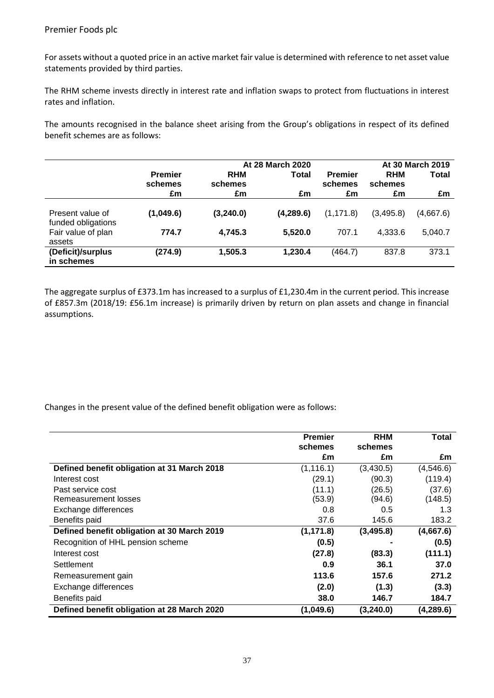For assets without a quoted price in an active market fair value is determined with reference to net asset value statements provided by third parties.

The RHM scheme invests directly in interest rate and inflation swaps to protect from fluctuations in interest rates and inflation.

The amounts recognised in the balance sheet arising from the Group's obligations in respect of its defined benefit schemes are as follows:

|                                        |                           |                       | At 28 March 2020 |                           |                       | At 30 March 2019 |
|----------------------------------------|---------------------------|-----------------------|------------------|---------------------------|-----------------------|------------------|
|                                        | <b>Premier</b><br>schemes | <b>RHM</b><br>schemes | <b>Total</b>     | <b>Premier</b><br>schemes | <b>RHM</b><br>schemes | <b>Total</b>     |
|                                        | £m                        | £m                    | £m               | £m                        | £m                    | £m               |
| Present value of<br>funded obligations | (1,049.6)                 | (3,240.0)             | (4, 289.6)       | (1, 171.8)                | (3,495.8)             | (4,667.6)        |
| Fair value of plan<br>assets           | 774.7                     | 4,745.3               | 5,520.0          | 707.1                     | 4.333.6               | 5,040.7          |
| (Deficit)/surplus<br>in schemes        | (274.9)                   | 1,505.3               | 1,230.4          | (464.7)                   | 837.8                 | 373.1            |

The aggregate surplus of £373.1m has increased to a surplus of £1,230.4m in the current period. This increase of £857.3m (2018/19: £56.1m increase) is primarily driven by return on plan assets and change in financial assumptions.

Changes in the present value of the defined benefit obligation were as follows:

|                                             | <b>Premier</b><br>schemes | <b>RHM</b><br>schemes | Total      |
|---------------------------------------------|---------------------------|-----------------------|------------|
|                                             | £m                        | £m                    | £m         |
| Defined benefit obligation at 31 March 2018 | (1, 116.1)                | (3,430.5)             | (4, 546.6) |
| Interest cost                               | (29.1)                    | (90.3)                | (119.4)    |
| Past service cost                           | (11.1)                    | (26.5)                | (37.6)     |
| Remeasurement losses                        | (53.9)                    | (94.6)                | (148.5)    |
| Exchange differences                        | 0.8                       | 0.5                   | 1.3        |
| Benefits paid                               | 37.6                      | 145.6                 | 183.2      |
| Defined benefit obligation at 30 March 2019 | (1, 171.8)                | (3, 495.8)            | (4,667.6)  |
| Recognition of HHL pension scheme           | (0.5)                     |                       | (0.5)      |
| Interest cost                               | (27.8)                    | (83.3)                | (111.1)    |
| Settlement                                  | 0.9                       | 36.1                  | 37.0       |
| Remeasurement gain                          | 113.6                     | 157.6                 | 271.2      |
| Exchange differences                        | (2.0)                     | (1.3)                 | (3.3)      |
| Benefits paid                               | 38.0                      | 146.7                 | 184.7      |
| Defined benefit obligation at 28 March 2020 | (1,049.6)                 | (3, 240.0)            | (4,289.6)  |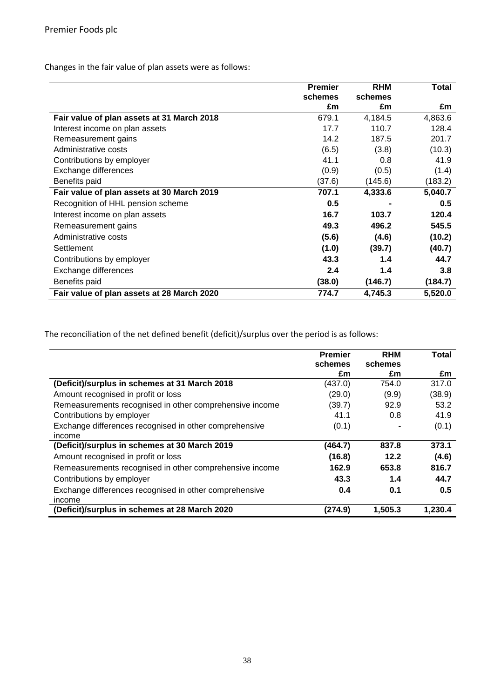Changes in the fair value of plan assets were as follows:

|                                            | <b>Premier</b> | <b>RHM</b> | Total   |
|--------------------------------------------|----------------|------------|---------|
|                                            | schemes        | schemes    |         |
|                                            | £m             | £m         | £m      |
| Fair value of plan assets at 31 March 2018 | 679.1          | 4,184.5    | 4,863.6 |
| Interest income on plan assets             | 17.7           | 110.7      | 128.4   |
| Remeasurement gains                        | 14.2           | 187.5      | 201.7   |
| Administrative costs                       | (6.5)          | (3.8)      | (10.3)  |
| Contributions by employer                  | 41.1           | 0.8        | 41.9    |
| Exchange differences                       | (0.9)          | (0.5)      | (1.4)   |
| Benefits paid                              | (37.6)         | (145.6)    | (183.2) |
| Fair value of plan assets at 30 March 2019 | 707.1          | 4,333.6    | 5,040.7 |
| Recognition of HHL pension scheme          | 0.5            |            | 0.5     |
| Interest income on plan assets             | 16.7           | 103.7      | 120.4   |
| Remeasurement gains                        | 49.3           | 496.2      | 545.5   |
| Administrative costs                       | (5.6)          | (4.6)      | (10.2)  |
| Settlement                                 | (1.0)          | (39.7)     | (40.7)  |
| Contributions by employer                  | 43.3           | 1.4        | 44.7    |
| Exchange differences                       | 2.4            | 1.4        | 3.8     |
| Benefits paid                              | (38.0)         | (146.7)    | (184.7) |
| Fair value of plan assets at 28 March 2020 | 774.7          | 4,745.3    | 5,520.0 |

The reconciliation of the net defined benefit (deficit)/surplus over the period is as follows:

|                                                         | <b>Premier</b> | <b>RHM</b> | <b>Total</b> |
|---------------------------------------------------------|----------------|------------|--------------|
|                                                         | schemes        | schemes    |              |
|                                                         | £m             | £m         | £m           |
| (Deficit)/surplus in schemes at 31 March 2018           | (437.0)        | 754.0      | 317.0        |
| Amount recognised in profit or loss                     | (29.0)         | (9.9)      | (38.9)       |
| Remeasurements recognised in other comprehensive income | (39.7)         | 92.9       | 53.2         |
| Contributions by employer                               | 41.1           | 0.8        | 41.9         |
| Exchange differences recognised in other comprehensive  | (0.1)          |            | (0.1)        |
| income                                                  |                |            |              |
| (Deficit)/surplus in schemes at 30 March 2019           | (464.7)        | 837.8      | 373.1        |
| Amount recognised in profit or loss                     | (16.8)         | 12.2       | (4.6)        |
| Remeasurements recognised in other comprehensive income | 162.9          | 653.8      | 816.7        |
| Contributions by employer                               | 43.3           | 1.4        | 44.7         |
| Exchange differences recognised in other comprehensive  | 0.4            | 0.1        | 0.5          |
| income                                                  |                |            |              |
| (Deficit)/surplus in schemes at 28 March 2020           | (274.9)        | 1,505.3    | 1,230.4      |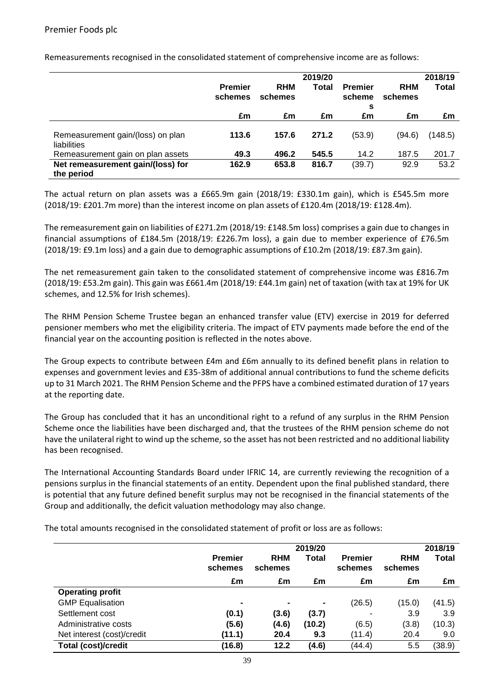Remeasurements recognised in the consolidated statement of comprehensive income are as follows:

|                                                  | <b>Premier</b><br>schemes | <b>RHM</b><br>schemes | 2019/20<br>Total | <b>Premier</b><br>scheme | <b>RHM</b><br>schemes | 2018/19<br><b>Total</b> |
|--------------------------------------------------|---------------------------|-----------------------|------------------|--------------------------|-----------------------|-------------------------|
|                                                  | £m                        | £m                    | £m               | s<br>£m                  | £m                    | £m                      |
| Remeasurement gain/(loss) on plan<br>liabilities | 113.6                     | 157.6                 | 271.2            | (53.9)                   | (94.6)                | (148.5)                 |
| Remeasurement gain on plan assets                | 49.3                      | 496.2                 | 545.5            | 14.2                     | 187.5                 | 201.7                   |
| Net remeasurement gain/(loss) for<br>the period  | 162.9                     | 653.8                 | 816.7            | (39.7)                   | 92.9                  | 53.2                    |

The actual return on plan assets was a £665.9m gain (2018/19: £330.1m gain), which is £545.5m more (2018/19: £201.7m more) than the interest income on plan assets of £120.4m (2018/19: £128.4m).

The remeasurement gain on liabilities of £271.2m (2018/19: £148.5m loss) comprises a gain due to changes in financial assumptions of £184.5m (2018/19: £226.7m loss), a gain due to member experience of £76.5m (2018/19: £9.1m loss) and a gain due to demographic assumptions of £10.2m (2018/19: £87.3m gain).

The net remeasurement gain taken to the consolidated statement of comprehensive income was £816.7m (2018/19: £53.2m gain). This gain was £661.4m (2018/19: £44.1m gain) net of taxation (with tax at 19% for UK schemes, and 12.5% for Irish schemes).

The RHM Pension Scheme Trustee began an enhanced transfer value (ETV) exercise in 2019 for deferred pensioner members who met the eligibility criteria. The impact of ETV payments made before the end of the financial year on the accounting position is reflected in the notes above.

The Group expects to contribute between £4m and £6m annually to its defined benefit plans in relation to expenses and government levies and £35-38m of additional annual contributions to fund the scheme deficits up to 31 March 2021. The RHM Pension Scheme and the PFPS have a combined estimated duration of 17 years at the reporting date.

The Group has concluded that it has an unconditional right to a refund of any surplus in the RHM Pension Scheme once the liabilities have been discharged and, that the trustees of the RHM pension scheme do not have the unilateral right to wind up the scheme, so the asset has not been restricted and no additional liability has been recognised.

The International Accounting Standards Board under IFRIC 14, are currently reviewing the recognition of a pensions surplus in the financial statements of an entity. Dependent upon the final published standard, there is potential that any future defined benefit surplus may not be recognised in the financial statements of the Group and additionally, the deficit valuation methodology may also change.

The total amounts recognised in the consolidated statement of profit or loss are as follows:

|                            |                           |                       | 2019/20 |                           |                       | 2018/19      |
|----------------------------|---------------------------|-----------------------|---------|---------------------------|-----------------------|--------------|
|                            | <b>Premier</b><br>schemes | <b>RHM</b><br>schemes | Total   | <b>Premier</b><br>schemes | <b>RHM</b><br>schemes | <b>Total</b> |
|                            | £m                        | £m                    | £m      | £m                        | £m                    | £m           |
| <b>Operating profit</b>    |                           |                       |         |                           |                       |              |
| <b>GMP</b> Equalisation    | $\blacksquare$            | $\blacksquare$        | ۰       | (26.5)                    | (15.0)                | (41.5)       |
| Settlement cost            | (0.1)                     | (3.6)                 | (3.7)   | ۰                         | 3.9                   | 3.9          |
| Administrative costs       | (5.6)                     | (4.6)                 | (10.2)  | (6.5)                     | (3.8)                 | (10.3)       |
| Net interest (cost)/credit | (11.1)                    | 20.4                  | 9.3     | (11.4)                    | 20.4                  | 9.0          |
| <b>Total (cost)/credit</b> | (16.8)                    | 12.2                  | (4.6)   | (44.4)                    | 5.5                   | (38.9)       |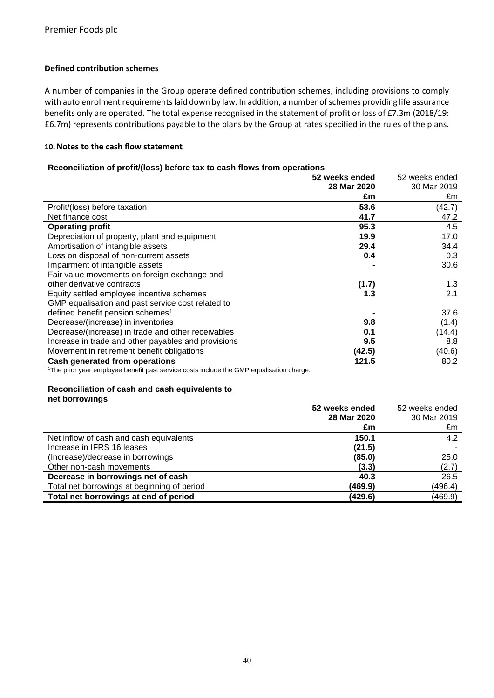## **Defined contribution schemes**

A number of companies in the Group operate defined contribution schemes, including provisions to comply with auto enrolment requirements laid down by law. In addition, a number of schemes providing life assurance benefits only are operated. The total expense recognised in the statement of profit or loss of £7.3m (2018/19: £6.7m) represents contributions payable to the plans by the Group at rates specified in the rules of the plans.

#### **10.Notes to the cash flow statement**

#### **Reconciliation of profit/(loss) before tax to cash flows from operations**

|                                                     | 52 weeks ended | 52 weeks ended |
|-----------------------------------------------------|----------------|----------------|
|                                                     | 28 Mar 2020    | 30 Mar 2019    |
|                                                     | £m             | £m             |
| Profit/(loss) before taxation                       | 53.6           | (42.7)         |
| Net finance cost                                    | 41.7           | 47.2           |
| <b>Operating profit</b>                             | 95.3           | 4.5            |
| Depreciation of property, plant and equipment       | 19.9           | 17.0           |
| Amortisation of intangible assets                   | 29.4           | 34.4           |
| Loss on disposal of non-current assets              | 0.4            | 0.3            |
| Impairment of intangible assets                     |                | 30.6           |
| Fair value movements on foreign exchange and        |                |                |
| other derivative contracts                          | (1.7)          | 1.3            |
| Equity settled employee incentive schemes           | 1.3            | 2.1            |
| GMP equalisation and past service cost related to   |                |                |
| defined benefit pension schemes <sup>1</sup>        |                | 37.6           |
| Decrease/(increase) in inventories                  | 9.8            | (1.4)          |
| Decrease/(increase) in trade and other receivables  | 0.1            | (14.4)         |
| Increase in trade and other payables and provisions | 9.5            | 8.8            |
| Movement in retirement benefit obligations          | (42.5)         | (40.6)         |
| Cash generated from operations                      | 121.5          | 80.2           |

<sup>1</sup>The prior year employee benefit past service costs include the GMP equalisation charge.

#### **Reconciliation of cash and cash equivalents to net borrowings**

|                                             | 52 weeks ended<br>28 Mar 2020 | 52 weeks ended<br>30 Mar 2019 |
|---------------------------------------------|-------------------------------|-------------------------------|
|                                             | £m                            | £m                            |
| Net inflow of cash and cash equivalents     | 150.1                         | 4.2                           |
| Increase in IFRS 16 leases                  | (21.5)                        |                               |
| (Increase)/decrease in borrowings           | (85.0)                        | 25.0                          |
| Other non-cash movements                    | (3.3)                         | (2.7)                         |
| Decrease in borrowings net of cash          | 40.3                          | 26.5                          |
| Total net borrowings at beginning of period | (469.9)                       | (496.4)                       |
| Total net borrowings at end of period       | (429.6)                       | (469.9)                       |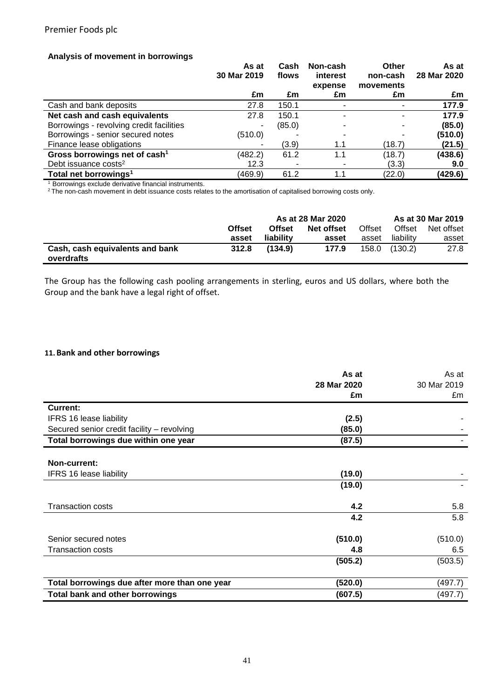#### **Analysis of movement in borrowings**

|                                           | As at<br>30 Mar 2019 | Cash<br>flows | Non-cash<br>interest | Other<br>non-cash | As at<br>28 Mar 2020 |
|-------------------------------------------|----------------------|---------------|----------------------|-------------------|----------------------|
|                                           |                      |               | expense              | movements         |                      |
|                                           | £m                   | £m            | £m                   | £m                | £m                   |
| Cash and bank deposits                    | 27.8                 | 150.1         |                      |                   | 177.9                |
| Net cash and cash equivalents             | 27.8                 | 150.1         |                      |                   | 177.9                |
| Borrowings - revolving credit facilities  | $\blacksquare$       | (85.0)        |                      |                   | (85.0)               |
| Borrowings - senior secured notes         | (510.0)              |               |                      |                   | (510.0)              |
| Finance lease obligations                 |                      | (3.9)         | 1.1                  | (18.7)            | (21.5)               |
| Gross borrowings net of cash <sup>1</sup> | (482.2)              | 61.2          | 1.1                  | (18.7)            | (438.6)              |
| Debt issuance costs <sup>2</sup>          | 12.3                 |               |                      | (3.3)             | 9.0                  |
| Total net borrowings <sup>1</sup>         | (469.9)              | 61.2          | 1.1                  | (22.0)            | (429.6)              |

<sup>1</sup> Borrowings exclude derivative financial instruments.

 $2$ The non-cash movement in debt issuance costs relates to the amortisation of capitalised borrowing costs only.

|                                               | As at 28 Mar 2020 |               |            | As at 30 Mar 2019 |           |            |
|-----------------------------------------------|-------------------|---------------|------------|-------------------|-----------|------------|
|                                               | <b>Offset</b>     | <b>Offset</b> | Net offset | Offset            | Offset    | Net offset |
|                                               | asset             | liability     | asset      | asset             | liability | asset      |
| Cash, cash equivalents and bank<br>overdrafts | 312.8             | (134.9)       | 177.9      | 158.0             | (130.2)   | 27.8       |

The Group has the following cash pooling arrangements in sterling, euros and US dollars, where both the Group and the bank have a legal right of offset.

#### **11.Bank and other borrowings**

|                                               | As at       | As at       |
|-----------------------------------------------|-------------|-------------|
|                                               | 28 Mar 2020 | 30 Mar 2019 |
|                                               | £m          | £m          |
| Current:                                      |             |             |
| IFRS 16 lease liability                       | (2.5)       |             |
| Secured senior credit facility - revolving    | (85.0)      |             |
| Total borrowings due within one year          | (87.5)      |             |
|                                               |             |             |
| Non-current:                                  |             |             |
| IFRS 16 lease liability                       | (19.0)      |             |
|                                               | (19.0)      |             |
| <b>Transaction costs</b>                      | 4.2         | 5.8         |
|                                               | 4.2         | 5.8         |
| Senior secured notes                          | (510.0)     | (510.0)     |
| <b>Transaction costs</b>                      | 4.8         | 6.5         |
|                                               | (505.2)     | (503.5)     |
| Total borrowings due after more than one year | (520.0)     | (497.7)     |
| <b>Total bank and other borrowings</b>        | (607.5)     | (497.7)     |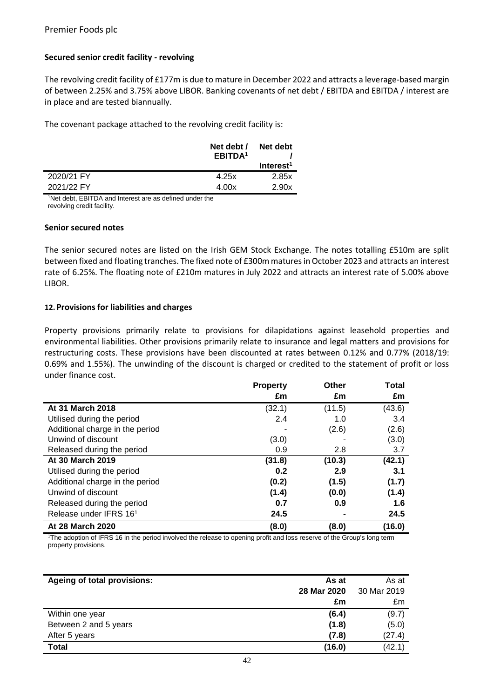## **Secured senior credit facility - revolving**

The revolving credit facility of £177m is due to mature in December 2022 and attracts a leverage-based margin of between 2.25% and 3.75% above LIBOR. Banking covenants of net debt / EBITDA and EBITDA / interest are in place and are tested biannually.

The covenant package attached to the revolving credit facility is:

|            | Net debt /<br>EBITDA <sup>1</sup> | Net debt<br>Interest <sup>1</sup> |
|------------|-----------------------------------|-----------------------------------|
| 2020/21 FY | 4.25x                             | 2.85x                             |
| 2021/22 FY | 4.00x                             | 2.90x                             |

<sup>1</sup>Net debt, EBITDA and Interest are as defined under the revolving credit facility.

#### **Senior secured notes**

The senior secured notes are listed on the Irish GEM Stock Exchange. The notes totalling £510m are split between fixed and floating tranches. The fixed note of £300m matures in October 2023 and attracts an interest rate of 6.25%. The floating note of £210m matures in July 2022 and attracts an interest rate of 5.00% above LIBOR.

#### **12.Provisions for liabilities and charges**

Property provisions primarily relate to provisions for dilapidations against leasehold properties and environmental liabilities. Other provisions primarily relate to insurance and legal matters and provisions for restructuring costs. These provisions have been discounted at rates between 0.12% and 0.77% (2018/19: 0.69% and 1.55%). The unwinding of the discount is charged or credited to the statement of profit or loss under finance cost.

|                                    | <b>Property</b> | Other  | Total  |
|------------------------------------|-----------------|--------|--------|
|                                    | £m              | £m     | £m     |
| At 31 March 2018                   | (32.1)          | (11.5) | (43.6) |
| Utilised during the period         | 2.4             | 1.0    | 3.4    |
| Additional charge in the period    |                 | (2.6)  | (2.6)  |
| Unwind of discount                 | (3.0)           |        | (3.0)  |
| Released during the period         | 0.9             | 2.8    | 3.7    |
| At 30 March 2019                   | (31.8)          | (10.3) | (42.1) |
| Utilised during the period         | 0.2             | 2.9    | 3.1    |
| Additional charge in the period    | (0.2)           | (1.5)  | (1.7)  |
| Unwind of discount                 | (1.4)           | (0.0)  | (1.4)  |
| Released during the period         | 0.7             | 0.9    | 1.6    |
| Release under IFRS 16 <sup>1</sup> | 24.5            |        | 24.5   |
| <b>At 28 March 2020</b>            | (8.0)           | (8.0)  | (16.0) |

<sup>1</sup>The adoption of IFRS 16 in the period involved the release to opening profit and loss reserve of the Group's long term property provisions.

| <b>Ageing of total provisions:</b> | As at       | As at       |
|------------------------------------|-------------|-------------|
|                                    | 28 Mar 2020 | 30 Mar 2019 |
|                                    | £m          | £m          |
| Within one year                    | (6.4)       | (9.7)       |
| Between 2 and 5 years              | (1.8)       | (5.0)       |
| After 5 years                      | (7.8)       | (27.4)      |
| <b>Total</b>                       | (16.0)      | (42.1)      |